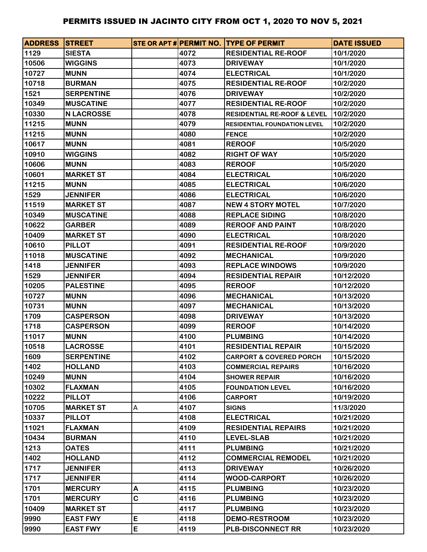| <b>ADDRESS STREET</b> |                   |   |      | STE OR APT # PERMIT NO. TYPE OF PERMIT | <b>DATE ISSUED</b> |
|-----------------------|-------------------|---|------|----------------------------------------|--------------------|
| 1129                  | <b>SIESTA</b>     |   | 4072 | <b>RESIDENTIAL RE-ROOF</b>             | 10/1/2020          |
| 10506                 | <b>WIGGINS</b>    |   | 4073 | <b>DRIVEWAY</b>                        | 10/1/2020          |
| 10727                 | <b>MUNN</b>       |   | 4074 | <b>ELECTRICAL</b>                      | 10/1/2020          |
| 10718                 | <b>BURMAN</b>     |   | 4075 | <b>RESIDENTIAL RE-ROOF</b>             | 10/2/2020          |
| 1521                  | <b>SERPENTINE</b> |   | 4076 | <b>DRIVEWAY</b>                        | 10/2/2020          |
| 10349                 | <b>MUSCATINE</b>  |   | 4077 | <b>RESIDENTIAL RE-ROOF</b>             | 10/2/2020          |
| 10330                 | <b>N LACROSSE</b> |   | 4078 | <b>RESIDENTIAL RE-ROOF &amp; LEVEL</b> | 10/2/2020          |
| 11215                 | <b>MUNN</b>       |   | 4079 | <b>RESIDENTIAL FOUNDATION LEVEL</b>    | 10/2/2020          |
| 11215                 | <b>MUNN</b>       |   | 4080 | <b>FENCE</b>                           | 10/2/2020          |
| 10617                 | <b>MUNN</b>       |   | 4081 | <b>REROOF</b>                          | 10/5/2020          |
| 10910                 | <b>WIGGINS</b>    |   | 4082 | <b>RIGHT OF WAY</b>                    | 10/5/2020          |
| 10606                 | <b>MUNN</b>       |   | 4083 | <b>REROOF</b>                          | 10/5/2020          |
| 10601                 | <b>MARKET ST</b>  |   | 4084 | <b>ELECTRICAL</b>                      | 10/6/2020          |
| 11215                 | <b>MUNN</b>       |   | 4085 | <b>ELECTRICAL</b>                      | 10/6/2020          |
| 1529                  | <b>JENNIFER</b>   |   | 4086 | <b>ELECTRICAL</b>                      | 10/6/2020          |
| 11519                 | <b>MARKET ST</b>  |   | 4087 | <b>NEW 4 STORY MOTEL</b>               | 10/7/2020          |
| 10349                 | <b>MUSCATINE</b>  |   | 4088 | <b>REPLACE SIDING</b>                  | 10/8/2020          |
| 10622                 | <b>GARBER</b>     |   | 4089 | <b>REROOF AND PAINT</b>                | 10/8/2020          |
| 10409                 | <b>MARKET ST</b>  |   | 4090 | <b>ELECTRICAL</b>                      | 10/8/2020          |
| 10610                 | <b>PILLOT</b>     |   | 4091 | <b>RESIDENTIAL RE-ROOF</b>             | 10/9/2020          |
| 11018                 | <b>MUSCATINE</b>  |   | 4092 | <b>MECHANICAL</b>                      | 10/9/2020          |
| 1418                  | <b>JENNIFER</b>   |   | 4093 | <b>REPLACE WINDOWS</b>                 | 10/9/2020          |
| 1529                  | <b>JENNIFER</b>   |   | 4094 | <b>RESIDENTIAL REPAIR</b>              | 10/12/2020         |
| 10205                 | <b>PALESTINE</b>  |   | 4095 | <b>REROOF</b>                          | 10/12/2020         |
| 10727                 | <b>MUNN</b>       |   | 4096 | <b>MECHANICAL</b>                      | 10/13/2020         |
| 10731                 | <b>MUNN</b>       |   | 4097 | <b>MECHANICAL</b>                      | 10/13/2020         |
| 1709                  | <b>CASPERSON</b>  |   | 4098 | <b>DRIVEWAY</b>                        | 10/13/2020         |
| 1718                  | <b>CASPERSON</b>  |   | 4099 | <b>REROOF</b>                          | 10/14/2020         |
| 11017                 | <b>MUNN</b>       |   | 4100 | <b>PLUMBING</b>                        | 10/14/2020         |
| 10518                 | <b>LACROSSE</b>   |   | 4101 | <b>RESIDENTIAL REPAIR</b>              | 10/15/2020         |
| 1609                  | <b>SERPENTINE</b> |   | 4102 | <b>CARPORT &amp; COVERED PORCH</b>     | 10/15/2020         |
| 1402                  | <b>HOLLAND</b>    |   | 4103 | <b>COMMERCIAL REPAIRS</b>              | 10/16/2020         |
| 10249                 | <b>MUNN</b>       |   | 4104 | <b>SHOWER REPAIR</b>                   | 10/16/2020         |
| 10302                 | <b>FLAXMAN</b>    |   | 4105 | <b>FOUNDATION LEVEL</b>                | 10/16/2020         |
| 10222                 | <b>PILLOT</b>     |   | 4106 | <b>CARPORT</b>                         | 10/19/2020         |
| 10705                 | <b>MARKET ST</b>  | Α | 4107 | <b>SIGNS</b>                           | 11/3/2020          |
| 10337                 | <b>PILLOT</b>     |   | 4108 | <b>ELECTRICAL</b>                      | 10/21/2020         |
| 11021                 | <b>FLAXMAN</b>    |   | 4109 | <b>RESIDENTIAL REPAIRS</b>             | 10/21/2020         |
| 10434                 | <b>BURMAN</b>     |   | 4110 | <b>LEVEL-SLAB</b>                      | 10/21/2020         |
| 1213                  | <b>OATES</b>      |   | 4111 | <b>PLUMBING</b>                        | 10/21/2020         |
| 1402                  | <b>HOLLAND</b>    |   | 4112 | <b>COMMERCIAL REMODEL</b>              | 10/21/2020         |
| 1717                  | <b>JENNIFER</b>   |   | 4113 | <b>DRIVEWAY</b>                        | 10/26/2020         |
| 1717                  | <b>JENNIFER</b>   |   | 4114 | <b>WOOD-CARPORT</b>                    | 10/26/2020         |
| 1701                  | <b>MERCURY</b>    | Α | 4115 | <b>PLUMBING</b>                        | 10/23/2020         |
| 1701                  | <b>MERCURY</b>    | C | 4116 | <b>PLUMBING</b>                        | 10/23/2020         |
| 10409                 | <b>MARKET ST</b>  |   | 4117 | <b>PLUMBING</b>                        | 10/23/2020         |
| 9990                  | <b>EAST FWY</b>   | E | 4118 | <b>DEMO-RESTROOM</b>                   | 10/23/2020         |
| 9990                  | <b>EAST FWY</b>   | E | 4119 | <b>PLB-DISCONNECT RR</b>               | 10/23/2020         |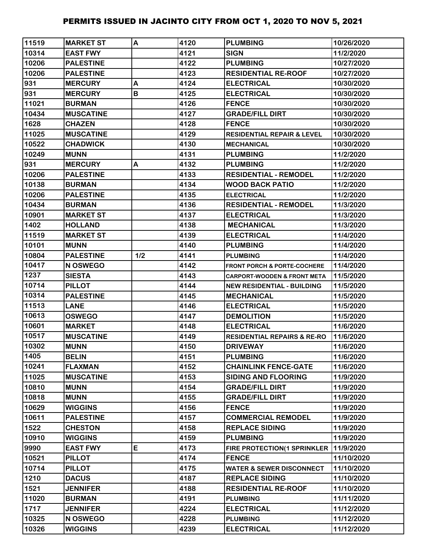| 11519 | <b>MARKET ST</b> | A   | 4120 | <b>PLUMBING</b>                        | 10/26/2020 |
|-------|------------------|-----|------|----------------------------------------|------------|
| 10314 | <b>EAST FWY</b>  |     | 4121 | <b>SIGN</b>                            | 11/2/2020  |
| 10206 | <b>PALESTINE</b> |     | 4122 | <b>PLUMBING</b>                        | 10/27/2020 |
| 10206 | <b>PALESTINE</b> |     | 4123 | <b>RESIDENTIAL RE-ROOF</b>             | 10/27/2020 |
| 931   | <b>MERCURY</b>   | A   | 4124 | <b>ELECTRICAL</b>                      | 10/30/2020 |
| 931   | <b>MERCURY</b>   | B   | 4125 | <b>ELECTRICAL</b>                      | 10/30/2020 |
| 11021 | <b>BURMAN</b>    |     | 4126 | <b>FENCE</b>                           | 10/30/2020 |
| 10434 | <b>MUSCATINE</b> |     | 4127 | <b>GRADE/FILL DIRT</b>                 | 10/30/2020 |
| 1628  | <b>CHAZEN</b>    |     | 4128 | <b>FENCE</b>                           | 10/30/2020 |
| 11025 | <b>MUSCATINE</b> |     | 4129 | <b>RESIDENTIAL REPAIR &amp; LEVEL</b>  | 10/30/2020 |
| 10522 | <b>CHADWICK</b>  |     | 4130 | <b>MECHANICAL</b>                      | 10/30/2020 |
| 10249 | <b>MUNN</b>      |     | 4131 | <b>PLUMBING</b>                        | 11/2/2020  |
| 931   | <b>MERCURY</b>   | A   | 4132 | <b>PLUMBING</b>                        | 11/2/2020  |
| 10206 | <b>PALESTINE</b> |     | 4133 | <b>RESIDENTIAL - REMODEL</b>           | 11/2/2020  |
| 10138 | <b>BURMAN</b>    |     | 4134 | <b>WOOD BACK PATIO</b>                 | 11/2/2020  |
| 10206 | <b>PALESTINE</b> |     | 4135 | <b>ELECTRICAL</b>                      | 11/2/2020  |
| 10434 | <b>BURMAN</b>    |     | 4136 | <b>RESIDENTIAL - REMODEL</b>           | 11/3/2020  |
| 10901 | <b>MARKET ST</b> |     | 4137 | <b>ELECTRICAL</b>                      | 11/3/2020  |
| 1402  | <b>HOLLAND</b>   |     | 4138 | <b>MECHANICAL</b>                      | 11/3/2020  |
| 11519 | <b>MARKET ST</b> |     | 4139 | <b>ELECTRICAL</b>                      | 11/4/2020  |
| 10101 | <b>MUNN</b>      |     | 4140 | <b>PLUMBING</b>                        | 11/4/2020  |
| 10804 | <b>PALESTINE</b> | 1/2 | 4141 | <b>PLUMBING</b>                        | 11/4/2020  |
| 10417 | N OSWEGO         |     | 4142 | <b>FRONT PORCH &amp; PORTE-COCHERE</b> | 11/4/2020  |
| 1237  | <b>SIESTA</b>    |     | 4143 | <b>CARPORT-WOODEN &amp; FRONT META</b> | 11/5/2020  |
| 10714 | <b>PILLOT</b>    |     | 4144 | <b>NEW RESIDENTIAL - BUILDING</b>      | 11/5/2020  |
| 10314 | <b>PALESTINE</b> |     | 4145 | <b>IMECHANICAL</b>                     | 11/5/2020  |
| 11513 | <b>LANE</b>      |     | 4146 | <b>ELECTRICAL</b>                      | 11/5/2020  |
| 10613 | <b>OSWEGO</b>    |     | 4147 | <b>DEMOLITION</b>                      | 11/5/2020  |
| 10601 | <b>MARKET</b>    |     | 4148 | <b>ELECTRICAL</b>                      | 11/6/2020  |
| 10517 | <b>MUSCATINE</b> |     | 4149 | <b>RESIDENTIAL REPAIRS &amp; RE-RO</b> | 11/6/2020  |
| 10302 | <b>MUNN</b>      |     | 4150 | <b>DRIVEWAY</b>                        | 11/6/2020  |
| 1405  | <b>BELIN</b>     |     | 4151 | <b>PLUMBING</b>                        | 11/6/2020  |
| 10241 | <b>FLAXMAN</b>   |     | 4152 | <b>CHAINLINK FENCE-GATE</b>            | 11/6/2020  |
| 11025 | <b>MUSCATINE</b> |     | 4153 | <b>SIDING AND FLOORING</b>             | 11/9/2020  |
| 10810 | <b>MUNN</b>      |     | 4154 | <b>GRADE/FILL DIRT</b>                 | 11/9/2020  |
| 10818 | <b>MUNN</b>      |     | 4155 | <b>GRADE/FILL DIRT</b>                 | 11/9/2020  |
| 10629 | <b>WIGGINS</b>   |     | 4156 | <b>FENCE</b>                           | 11/9/2020  |
| 10611 | <b>PALESTINE</b> |     | 4157 | <b>COMMERCIAL REMODEL</b>              | 11/9/2020  |
| 1522  | <b>CHESTON</b>   |     | 4158 | <b>REPLACE SIDING</b>                  | 11/9/2020  |
| 10910 | <b>WIGGINS</b>   |     | 4159 | <b>PLUMBING</b>                        | 11/9/2020  |
| 9990  | <b>EAST FWY</b>  | E   | 4173 | FIRE PROTECTION(1 SPRINKLER            | 11/9/2020  |
| 10521 | <b>PILLOT</b>    |     | 4174 | <b>FENCE</b>                           | 11/10/2020 |
| 10714 | <b>PILLOT</b>    |     | 4175 | <b>WATER &amp; SEWER DISCONNECT</b>    | 11/10/2020 |
| 1210  | <b>DACUS</b>     |     | 4187 | <b>REPLACE SIDING</b>                  | 11/10/2020 |
| 1521  | <b>JENNIFER</b>  |     | 4188 | <b>RESIDENTIAL RE-ROOF</b>             | 11/10/2020 |
| 11020 | <b>BURMAN</b>    |     | 4191 | <b>PLUMBING</b>                        | 11/11/2020 |
| 1717  | <b>JENNIFER</b>  |     | 4224 | <b>ELECTRICAL</b>                      | 11/12/2020 |
| 10325 | N OSWEGO         |     | 4228 | <b>PLUMBING</b>                        | 11/12/2020 |
| 10326 | <b>WIGGINS</b>   |     | 4239 | <b>ELECTRICAL</b>                      | 11/12/2020 |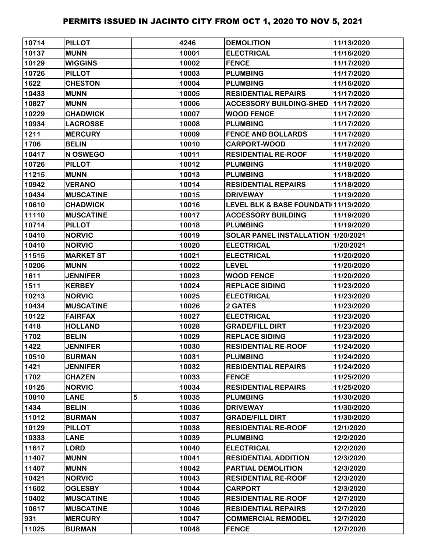| 10714 | <b>PILLOT</b>    |   | 4246  | <b>DEMOLITION</b>                               | 11/13/2020 |
|-------|------------------|---|-------|-------------------------------------------------|------------|
| 10137 | <b>MUNN</b>      |   | 10001 | <b>ELECTRICAL</b>                               | 11/16/2020 |
| 10129 | <b>WIGGINS</b>   |   | 10002 | <b>FENCE</b>                                    | 11/17/2020 |
| 10726 | <b>PILLOT</b>    |   | 10003 | <b>PLUMBING</b>                                 | 11/17/2020 |
| 1622  | <b>CHESTON</b>   |   | 10004 | <b>PLUMBING</b>                                 | 11/16/2020 |
| 10433 | <b>MUNN</b>      |   | 10005 | <b>RESIDENTIAL REPAIRS</b>                      | 11/17/2020 |
| 10827 | <b>MUNN</b>      |   | 10006 | <b>ACCESSORY BUILDING-SHED</b>                  | 11/17/2020 |
| 10229 | <b>CHADWICK</b>  |   | 10007 | <b>WOOD FENCE</b>                               | 11/17/2020 |
| 10934 | <b>LACROSSE</b>  |   | 10008 | <b>PLUMBING</b>                                 | 11/17/2020 |
| 1211  | <b>MERCURY</b>   |   | 10009 | <b>FENCE AND BOLLARDS</b>                       | 11/17/2020 |
| 1706  | <b>BELIN</b>     |   | 10010 | <b>CARPORT-WOOD</b>                             | 11/17/2020 |
| 10417 | <b>N OSWEGO</b>  |   | 10011 | <b>RESIDENTIAL RE-ROOF</b>                      | 11/18/2020 |
| 10726 | <b>PILLOT</b>    |   | 10012 | <b>PLUMBING</b>                                 | 11/18/2020 |
| 11215 | <b>MUNN</b>      |   | 10013 | <b>PLUMBING</b>                                 | 11/18/2020 |
| 10942 | <b>VERANO</b>    |   | 10014 | <b>RESIDENTIAL REPAIRS</b>                      | 11/18/2020 |
| 10434 | <b>MUSCATINE</b> |   | 10015 | <b>DRIVEWAY</b>                                 | 11/19/2020 |
| 10610 | <b>CHADWICK</b>  |   | 10016 | <b>LEVEL BLK &amp; BASE FOUNDATI 11/19/2020</b> |            |
| 11110 | <b>MUSCATINE</b> |   | 10017 | <b>ACCESSORY BUILDING</b>                       | 11/19/2020 |
| 10714 | <b>PILLOT</b>    |   | 10018 | <b>PLUMBING</b>                                 | 11/19/2020 |
| 10410 | <b>NORVIC</b>    |   | 10019 | SOLAR PANEL INSTALLATION   1/20/2021            |            |
| 10410 | <b>NORVIC</b>    |   | 10020 | <b>ELECTRICAL</b>                               | 1/20/2021  |
| 11515 | <b>MARKET ST</b> |   | 10021 | <b>ELECTRICAL</b>                               | 11/20/2020 |
| 10206 | <b>MUNN</b>      |   | 10022 | <b>LEVEL</b>                                    | 11/20/2020 |
| 1611  | <b>JENNIFER</b>  |   | 10023 | <b>WOOD FENCE</b>                               | 11/20/2020 |
| 1511  | <b>KERBEY</b>    |   | 10024 | <b>REPLACE SIDING</b>                           | 11/23/2020 |
| 10213 | <b>NORVIC</b>    |   | 10025 | <b>ELECTRICAL</b>                               | 11/23/2020 |
| 10434 | <b>MUSCATINE</b> |   | 10026 | <b>2 GATES</b>                                  | 11/23/2020 |
| 10122 | <b>FAIRFAX</b>   |   | 10027 | <b>ELECTRICAL</b>                               | 11/23/2020 |
| 1418  | <b>HOLLAND</b>   |   | 10028 | <b>GRADE/FILL DIRT</b>                          | 11/23/2020 |
| 1702  | <b>BELIN</b>     |   | 10029 | <b>REPLACE SIDING</b>                           | 11/23/2020 |
| 1422  | <b>JENNIFER</b>  |   | 10030 | <b>RESIDENTIAL RE-ROOF</b>                      | 11/24/2020 |
| 10510 | <b>BURMAN</b>    |   | 10031 | <b>PLUMBING</b>                                 | 11/24/2020 |
| 1421  | <b>JENNIFER</b>  |   | 10032 | <b>RESIDENTIAL REPAIRS</b>                      | 11/24/2020 |
| 1702  | <b>CHAZEN</b>    |   | 10033 | <b>FENCE</b>                                    | 11/25/2020 |
| 10125 | <b>NORVIC</b>    |   | 10034 | <b>RESIDENTIAL REPAIRS</b>                      | 11/25/2020 |
| 10810 | <b>LANE</b>      | 5 | 10035 | <b>PLUMBING</b>                                 | 11/30/2020 |
| 1434  | <b>BELIN</b>     |   | 10036 | <b>DRIVEWAY</b>                                 | 11/30/2020 |
| 11012 | <b>BURMAN</b>    |   | 10037 | <b>GRADE/FILL DIRT</b>                          | 11/30/2020 |
| 10129 | <b>PILLOT</b>    |   | 10038 | <b>RESIDENTIAL RE-ROOF</b>                      | 12/1/2020  |
| 10333 | <b>LANE</b>      |   | 10039 | <b>PLUMBING</b>                                 | 12/2/2020  |
| 11617 | <b>LORD</b>      |   | 10040 | <b>ELECTRICAL</b>                               | 12/2/2020  |
| 11407 | <b>MUNN</b>      |   | 10041 | <b>RESIDENTIAL ADDITION</b>                     | 12/3/2020  |
| 11407 | <b>MUNN</b>      |   | 10042 | PARTIAL DEMOLITION                              | 12/3/2020  |
| 10421 | <b>NORVIC</b>    |   | 10043 | <b>RESIDENTIAL RE-ROOF</b>                      | 12/3/2020  |
| 11602 | <b>OGLESBY</b>   |   | 10044 | <b>CARPORT</b>                                  | 12/3/2020  |
| 10402 | <b>MUSCATINE</b> |   | 10045 | <b>RESIDENTIAL RE-ROOF</b>                      | 12/7/2020  |
| 10617 | <b>MUSCATINE</b> |   | 10046 | <b>RESIDENTIAL REPAIRS</b>                      | 12/7/2020  |
| 931   | <b>MERCURY</b>   |   | 10047 | <b>COMMERCIAL REMODEL</b>                       | 12/7/2020  |
| 11025 | <b>BURMAN</b>    |   | 10048 | <b>FENCE</b>                                    | 12/7/2020  |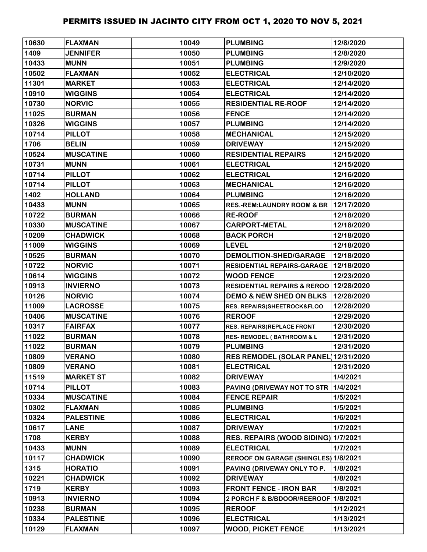| 10630 | <b>FLAXMAN</b>   | 10049 | <b>PLUMBING</b>                          | 12/8/2020  |
|-------|------------------|-------|------------------------------------------|------------|
| 1409  | <b>JENNIFER</b>  | 10050 | <b>PLUMBING</b>                          | 12/8/2020  |
| 10433 | <b>MUNN</b>      | 10051 | <b>PLUMBING</b>                          | 12/9/2020  |
| 10502 | <b>FLAXMAN</b>   | 10052 | <b>ELECTRICAL</b>                        | 12/10/2020 |
| 11301 | <b>MARKET</b>    | 10053 | <b>ELECTRICAL</b>                        | 12/14/2020 |
| 10910 | <b>WIGGINS</b>   | 10054 | <b>ELECTRICAL</b>                        | 12/14/2020 |
| 10730 | <b>NORVIC</b>    | 10055 | <b>RESIDENTIAL RE-ROOF</b>               | 12/14/2020 |
| 11025 | <b>BURMAN</b>    | 10056 | <b>FENCE</b>                             | 12/14/2020 |
| 10326 | <b>WIGGINS</b>   | 10057 | <b>PLUMBING</b>                          | 12/14/2020 |
| 10714 | <b>PILLOT</b>    | 10058 | <b>MECHANICAL</b>                        | 12/15/2020 |
| 1706  | <b>BELIN</b>     | 10059 | <b>DRIVEWAY</b>                          | 12/15/2020 |
| 10524 | <b>MUSCATINE</b> | 10060 | <b>RESIDENTIAL REPAIRS</b>               | 12/15/2020 |
| 10731 | <b>MUNN</b>      | 10061 | <b>ELECTRICAL</b>                        | 12/15/2020 |
| 10714 | <b>PILLOT</b>    | 10062 | <b>ELECTRICAL</b>                        | 12/16/2020 |
| 10714 | <b>PILLOT</b>    | 10063 | <b>MECHANICAL</b>                        | 12/16/2020 |
| 1402  | <b>HOLLAND</b>   | 10064 | <b>PLUMBING</b>                          | 12/16/2020 |
| 10433 | <b>MUNN</b>      | 10065 | <b>RES.-REM:LAUNDRY ROOM &amp; BR</b>    | 12/17/2020 |
| 10722 | <b>BURMAN</b>    | 10066 | <b>RE-ROOF</b>                           | 12/18/2020 |
| 10330 | <b>MUSCATINE</b> | 10067 | <b>CARPORT-METAL</b>                     | 12/18/2020 |
| 10209 | <b>CHADWICK</b>  | 10068 | <b>BACK PORCH</b>                        | 12/18/2020 |
| 11009 | <b>WIGGINS</b>   | 10069 | <b>LEVEL</b>                             | 12/18/2020 |
| 10525 | <b>BURMAN</b>    | 10070 | <b>DEMOLITION-SHED/GARAGE</b>            | 12/18/2020 |
| 10722 | <b>NORVIC</b>    | 10071 | RESIDENTIAL REPAIRS-GARAGE   12/18/2020  |            |
| 10614 | <b>WIGGINS</b>   | 10072 | <b>WOOD FENCE</b>                        | 12/23/2020 |
| 10913 | <b>INVIERNO</b>  | 10073 | RESIDENTIAL REPAIRS & REROO   12/28/2020 |            |
| 10126 | <b>NORVIC</b>    | 10074 | <b>DEMO &amp; NEW SHED ON BLKS</b>       | 12/28/2020 |
| 11009 | <b>LACROSSE</b>  | 10075 | RES. REPAIRS(SHEETROCK&FLOO              | 12/28/2020 |
| 10406 | <b>MUSCATINE</b> | 10076 | <b>REROOF</b>                            | 12/29/2020 |
| 10317 | <b>FAIRFAX</b>   | 10077 | <b>RES. REPAIRS(REPLACE FRONT</b>        | 12/30/2020 |
| 11022 | <b>BURMAN</b>    | 10078 | <b>RES- REMODEL (BATHROOM &amp; L</b>    | 12/31/2020 |
| 11022 | <b>BURMAN</b>    | 10079 | <b>PLUMBING</b>                          | 12/31/2020 |
| 10809 | <b>VERANO</b>    | 10080 | <b>RES REMODEL (SOLAR PANEL)</b>         | 12/31/2020 |
| 10809 | <b>VERANO</b>    | 10081 | <b>ELECTRICAL</b>                        | 12/31/2020 |
| 11519 | <b>MARKET ST</b> | 10082 | <b>DRIVEWAY</b>                          | 1/4/2021   |
| 10714 | <b>PILLOT</b>    | 10083 | PAVING (DRIVEWAY NOT TO STR              | 1/4/2021   |
| 10334 | <b>MUSCATINE</b> | 10084 | <b>FENCE REPAIR</b>                      | 1/5/2021   |
| 10302 | <b>FLAXMAN</b>   | 10085 | <b>PLUMBING</b>                          | 1/5/2021   |
| 10324 | <b>PALESTINE</b> | 10086 | <b>ELECTRICAL</b>                        | 1/6/2021   |
| 10617 | <b>LANE</b>      | 10087 | <b>DRIVEWAY</b>                          | 1/7/2021   |
| 1708  | <b>KERBY</b>     | 10088 | RES. REPAIRS (WOOD SIDING) 1/7/2021      |            |
| 10433 | <b>MUNN</b>      | 10089 | <b>ELECTRICAL</b>                        | 1/7/2021   |
| 10117 | <b>CHADWICK</b>  | 10090 | REROOF ON GARAGE (SHINGLES) 1/8/2021     |            |
| 1315  | <b>HORATIO</b>   | 10091 | PAVING (DRIVEWAY ONLY TO P.              | 1/8/2021   |
| 10221 | <b>CHADWICK</b>  | 10092 | <b>DRIVEWAY</b>                          | 1/8/2021   |
| 1719  | <b>KERBY</b>     | 10093 | <b>FRONT FENCE - IRON BAR</b>            | 1/8/2021   |
| 10913 | <b>INVIERNO</b>  | 10094 | 2 PORCH F & B/BDOOR/REEROOF 1/8/2021     |            |
| 10238 | <b>BURMAN</b>    | 10095 | <b>REROOF</b>                            | 1/12/2021  |
| 10334 | <b>PALESTINE</b> | 10096 | <b>ELECTRICAL</b>                        | 1/13/2021  |
| 10129 | <b>FLAXMAN</b>   | 10097 | <b>WOOD, PICKET FENCE</b>                | 1/13/2021  |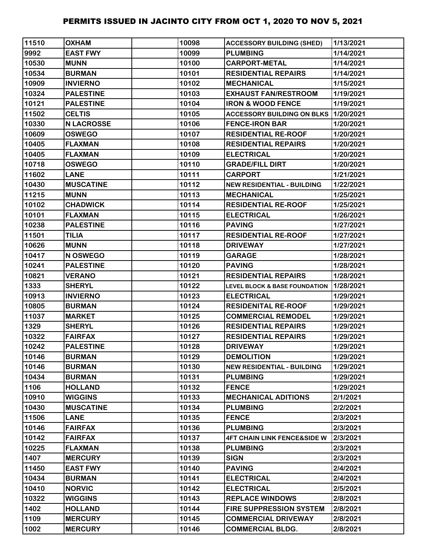| 11510 | <b>OXHAM</b>      | 10098 | <b>ACCESSORY BUILDING (SHED)</b>         | 1/13/2021 |
|-------|-------------------|-------|------------------------------------------|-----------|
| 9992  | <b>EAST FWY</b>   | 10099 | <b>PLUMBING</b>                          | 1/14/2021 |
| 10530 | <b>MUNN</b>       | 10100 | <b>CARPORT-METAL</b>                     | 1/14/2021 |
| 10534 | <b>BURMAN</b>     | 10101 | <b>RESIDENTIAL REPAIRS</b>               | 1/14/2021 |
| 10909 | <b>INVIERNO</b>   | 10102 | <b>MECHANICAL</b>                        | 1/15/2021 |
| 10324 | <b>PALESTINE</b>  | 10103 | <b>EXHAUST FAN/RESTROOM</b>              | 1/19/2021 |
| 10121 | <b>PALESTINE</b>  | 10104 | <b>IRON &amp; WOOD FENCE</b>             | 1/19/2021 |
| 11502 | <b>CELTIS</b>     | 10105 | <b>ACCESSORY BUILDING ON BLKS</b>        | 1/20/2021 |
| 10330 | <b>N LACROSSE</b> | 10106 | <b>FENCE-IRON BAR</b>                    | 1/20/2021 |
| 10609 | <b>OSWEGO</b>     | 10107 | <b>RESIDENTIAL RE-ROOF</b>               | 1/20/2021 |
| 10405 | <b>FLAXMAN</b>    | 10108 | <b>RESIDENTIAL REPAIRS</b>               | 1/20/2021 |
| 10405 | <b>FLAXMAN</b>    | 10109 | <b>ELECTRICAL</b>                        | 1/20/2021 |
| 10718 | <b>OSWEGO</b>     | 10110 | <b>GRADE/FILL DIRT</b>                   | 1/20/2021 |
| 11602 | <b>LANE</b>       | 10111 | <b>CARPORT</b>                           | 1/21/2021 |
| 10430 | <b>MUSCATINE</b>  | 10112 | <b>NEW RESIDENTIAL - BUILDING</b>        | 1/22/2021 |
| 11215 | <b>MUNN</b>       | 10113 | <b>MECHANICAL</b>                        | 1/25/2021 |
| 10102 | <b>CHADWICK</b>   | 10114 | <b>RESIDENTIAL RE-ROOF</b>               | 1/25/2021 |
| 10101 | <b>FLAXMAN</b>    | 10115 | <b>ELECTRICAL</b>                        | 1/26/2021 |
| 10238 | <b>PALESTINE</b>  | 10116 | <b>PAVING</b>                            | 1/27/2021 |
| 11501 | <b>TILIA</b>      | 10117 | <b>RESIDENTIAL RE-ROOF</b>               | 1/27/2021 |
| 10626 | <b>MUNN</b>       | 10118 | <b>DRIVEWAY</b>                          | 1/27/2021 |
| 10417 | N OSWEGO          | 10119 | <b>GARAGE</b>                            | 1/28/2021 |
| 10241 | <b>PALESTINE</b>  | 10120 | <b>PAVING</b>                            | 1/28/2021 |
| 10821 | <b>VERANO</b>     | 10121 | <b>RESIDENTIAL REPAIRS</b>               | 1/28/2021 |
| 1333  | <b>SHERYL</b>     | 10122 | <b>LEVEL BLOCK &amp; BASE FOUNDATION</b> | 1/28/2021 |
| 10913 | <b>INVIERNO</b>   | 10123 | <b>ELECTRICAL</b>                        | 1/29/2021 |
| 10805 | <b>BURMAN</b>     | 10124 | <b>RESIDENITAL RE-ROOF</b>               | 1/29/2021 |
| 11037 | <b>MARKET</b>     | 10125 | <b>COMMERCIAL REMODEL</b>                | 1/29/2021 |
| 1329  | <b>SHERYL</b>     | 10126 | <b>RESIDENTIAL REPAIRS</b>               | 1/29/2021 |
| 10322 | <b>FAIRFAX</b>    | 10127 | <b>RESIDENTIAL REPAIRS</b>               | 1/29/2021 |
| 10242 | <b>PALESTINE</b>  | 10128 | <b>DRIVEWAY</b>                          | 1/29/2021 |
| 10146 | <b>BURMAN</b>     | 10129 | <b>DEMOLITION</b>                        | 1/29/2021 |
| 10146 | <b>BURMAN</b>     | 10130 | <b>NEW RESIDENTIAL - BUILDING</b>        | 1/29/2021 |
| 10434 | <b>BURMAN</b>     | 10131 | <b>PLUMBING</b>                          | 1/29/2021 |
| 1106  | <b>HOLLAND</b>    | 10132 | <b>FENCE</b>                             | 1/29/2021 |
| 10910 | <b>WIGGINS</b>    | 10133 | <b>MECHANICAL ADITIONS</b>               | 2/1/2021  |
| 10430 | <b>MUSCATINE</b>  | 10134 | <b>PLUMBING</b>                          | 2/2/2021  |
| 11506 | <b>LANE</b>       | 10135 | <b>FENCE</b>                             | 2/3/2021  |
| 10146 | <b>FAIRFAX</b>    | 10136 | <b>PLUMBING</b>                          | 2/3/2021  |
| 10142 | <b>FAIRFAX</b>    | 10137 | <b>4FT CHAIN LINK FENCE&amp;SIDE W</b>   | 2/3/2021  |
| 10225 | <b>FLAXMAN</b>    | 10138 | <b>PLUMBING</b>                          | 2/3/2021  |
| 1407  | <b>MERCURY</b>    | 10139 | <b>SIGN</b>                              | 2/3/2021  |
| 11450 | <b>EAST FWY</b>   | 10140 | <b>PAVING</b>                            | 2/4/2021  |
| 10434 | <b>BURMAN</b>     | 10141 | <b>ELECTRICAL</b>                        | 2/4/2021  |
| 10410 | <b>NORVIC</b>     | 10142 | <b>ELECTRICAL</b>                        | 2/5/2021  |
| 10322 | <b>WIGGINS</b>    | 10143 | <b>REPLACE WINDOWS</b>                   | 2/8/2021  |
| 1402  | <b>HOLLAND</b>    | 10144 | <b>FIRE SUPPRESSION SYSTEM</b>           | 2/8/2021  |
| 1109  | <b>MERCURY</b>    | 10145 | <b>COMMERCIAL DRIVEWAY</b>               | 2/8/2021  |
| 1002  | <b>MERCURY</b>    | 10146 | <b>COMMERCIAL BLDG.</b>                  | 2/8/2021  |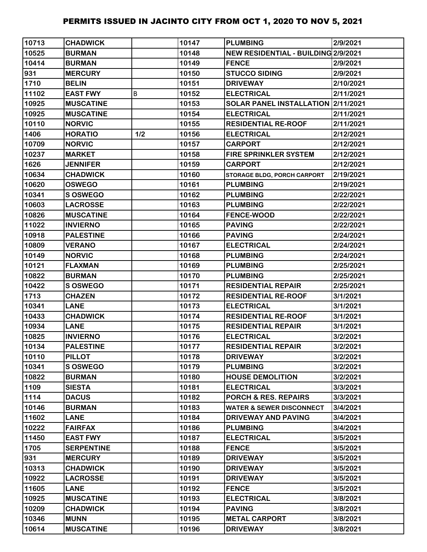| 10713 | <b>CHADWICK</b>   |     | 10147 | <b>PLUMBING</b>                     | 2/9/2021  |
|-------|-------------------|-----|-------|-------------------------------------|-----------|
| 10525 | <b>BURMAN</b>     |     | 10148 | NEW RESIDENTIAL - BUILDING 2/9/2021 |           |
| 10414 | <b>BURMAN</b>     |     | 10149 | <b>FENCE</b>                        | 2/9/2021  |
| 931   | <b>MERCURY</b>    |     | 10150 | <b>STUCCO SIDING</b>                | 2/9/2021  |
| 1710  | <b>BELIN</b>      |     | 10151 | <b>DRIVEWAY</b>                     | 2/10/2021 |
| 11102 | <b>EAST FWY</b>   | B   | 10152 | <b>ELECTRICAL</b>                   | 2/11/2021 |
| 10925 | <b>MUSCATINE</b>  |     | 10153 | SOLAR PANEL INSTALLATION 2/11/2021  |           |
| 10925 | <b>MUSCATINE</b>  |     | 10154 | <b>ELECTRICAL</b>                   | 2/11/2021 |
| 10110 | <b>NORVIC</b>     |     | 10155 | <b>RESIDENTIAL RE-ROOF</b>          | 2/11/2021 |
| 1406  | <b>HORATIO</b>    | 1/2 | 10156 | <b>ELECTRICAL</b>                   | 2/12/2021 |
| 10709 | <b>NORVIC</b>     |     | 10157 | <b>CARPORT</b>                      | 2/12/2021 |
| 10237 | <b>MARKET</b>     |     | 10158 | <b>FIRE SPRINKLER SYSTEM</b>        | 2/12/2021 |
| 1626  | <b>JENNIFER</b>   |     | 10159 | <b>CARPORT</b>                      | 2/12/2021 |
| 10634 | <b>CHADWICK</b>   |     | 10160 | STORAGE BLDG, PORCH CARPORT         | 2/19/2021 |
| 10620 | <b>OSWEGO</b>     |     | 10161 | <b>PLUMBING</b>                     | 2/19/2021 |
| 10341 | <b>S OSWEGO</b>   |     | 10162 | <b>PLUMBING</b>                     | 2/22/2021 |
| 10603 | <b>LACROSSE</b>   |     | 10163 | <b>PLUMBING</b>                     | 2/22/2021 |
| 10826 | <b>MUSCATINE</b>  |     | 10164 | <b>FENCE-WOOD</b>                   | 2/22/2021 |
| 11022 | <b>INVIERNO</b>   |     | 10165 | <b>PAVING</b>                       | 2/22/2021 |
| 10918 | <b>PALESTINE</b>  |     | 10166 | <b>PAVING</b>                       | 2/24/2021 |
| 10809 | <b>VERANO</b>     |     | 10167 | <b>ELECTRICAL</b>                   | 2/24/2021 |
| 10149 | <b>NORVIC</b>     |     | 10168 | <b>PLUMBING</b>                     | 2/24/2021 |
| 10121 | <b>FLAXMAN</b>    |     | 10169 | <b>PLUMBING</b>                     | 2/25/2021 |
| 10822 | <b>BURMAN</b>     |     | 10170 | <b>PLUMBING</b>                     | 2/25/2021 |
| 10422 | <b>S OSWEGO</b>   |     | 10171 | <b>RESIDENTIAL REPAIR</b>           | 2/25/2021 |
| 1713  | <b>CHAZEN</b>     |     | 10172 | <b>RESIDENTIAL RE-ROOF</b>          | 3/1/2021  |
| 10341 | <b>LANE</b>       |     | 10173 | <b>ELECTRICAL</b>                   | 3/1/2021  |
| 10433 | <b>CHADWICK</b>   |     | 10174 | <b>RESIDENTIAL RE-ROOF</b>          | 3/1/2021  |
| 10934 | <b>LANE</b>       |     | 10175 | <b>RESIDENTIAL REPAIR</b>           | 3/1/2021  |
| 10825 | <b>INVIERNO</b>   |     | 10176 | <b>ELECTRICAL</b>                   | 3/2/2021  |
| 10134 | <b>PALESTINE</b>  |     | 10177 | <b>RESIDENTIAL REPAIR</b>           | 3/2/2021  |
| 10110 | <b>PILLOT</b>     |     | 10178 | <b>DRIVEWAY</b>                     | 3/2/2021  |
| 10341 | <b>S OSWEGO</b>   |     | 10179 | <b>PLUMBING</b>                     | 3/2/2021  |
| 10822 | <b>BURMAN</b>     |     | 10180 | <b>HOUSE DEMOLITION</b>             | 3/2/2021  |
| 1109  | <b>SIESTA</b>     |     | 10181 | <b>ELECTRICAL</b>                   | 3/3/2021  |
| 1114  | <b>DACUS</b>      |     | 10182 | <b>PORCH &amp; RES. REPAIRS</b>     | 3/3/2021  |
| 10146 | <b>BURMAN</b>     |     | 10183 | <b>WATER &amp; SEWER DISCONNECT</b> | 3/4/2021  |
| 11602 | <b>LANE</b>       |     | 10184 | <b>DRIVEWAY AND PAVING</b>          | 3/4/2021  |
| 10222 | <b>FAIRFAX</b>    |     | 10186 | <b>PLUMBING</b>                     | 3/4/2021  |
| 11450 | <b>EAST FWY</b>   |     | 10187 | <b>ELECTRICAL</b>                   | 3/5/2021  |
| 1705  | <b>SERPENTINE</b> |     | 10188 | <b>FENCE</b>                        | 3/5/2021  |
| 931   | <b>MERCURY</b>    |     | 10189 | <b>DRIVEWAY</b>                     | 3/5/2021  |
| 10313 | <b>CHADWICK</b>   |     | 10190 | <b>DRIVEWAY</b>                     | 3/5/2021  |
| 10922 | <b>LACROSSE</b>   |     | 10191 | <b>DRIVEWAY</b>                     | 3/5/2021  |
| 11605 | <b>LANE</b>       |     | 10192 | <b>FENCE</b>                        | 3/5/2021  |
| 10925 | <b>MUSCATINE</b>  |     | 10193 | <b>ELECTRICAL</b>                   | 3/8/2021  |
| 10209 | <b>CHADWICK</b>   |     | 10194 | <b>PAVING</b>                       | 3/8/2021  |
| 10346 | <b>MUNN</b>       |     | 10195 | <b>METAL CARPORT</b>                | 3/8/2021  |
| 10614 | <b>MUSCATINE</b>  |     | 10196 | <b>DRIVEWAY</b>                     | 3/8/2021  |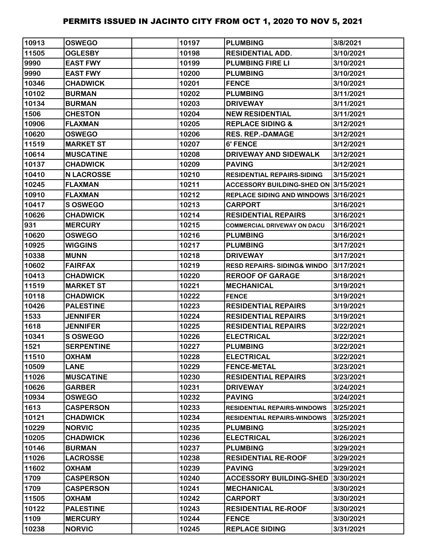| 10913 | <b>OSWEGO</b>     | 10197 | <b>PLUMBING</b>                       | 3/8/2021  |
|-------|-------------------|-------|---------------------------------------|-----------|
| 11505 | <b>OGLESBY</b>    | 10198 | <b>RESIDENTIAL ADD.</b>               | 3/10/2021 |
| 9990  | <b>EAST FWY</b>   | 10199 | <b>PLUMBING FIRE LI</b>               | 3/10/2021 |
| 9990  | <b>EAST FWY</b>   | 10200 | <b>PLUMBING</b>                       | 3/10/2021 |
| 10346 | <b>CHADWICK</b>   | 10201 | <b>FENCE</b>                          | 3/10/2021 |
| 10102 | <b>BURMAN</b>     | 10202 | <b>PLUMBING</b>                       | 3/11/2021 |
| 10134 | <b>BURMAN</b>     | 10203 | <b>DRIVEWAY</b>                       | 3/11/2021 |
| 1506  | <b>CHESTON</b>    | 10204 | <b>NEW RESIDENTIAL</b>                | 3/11/2021 |
| 10906 | <b>FLAXMAN</b>    | 10205 | <b>REPLACE SIDING &amp;</b>           | 3/12/2021 |
| 10620 | <b>OSWEGO</b>     | 10206 | <b>RES. REP.-DAMAGE</b>               | 3/12/2021 |
| 11519 | <b>MARKET ST</b>  | 10207 | <b>6' FENCE</b>                       | 3/12/2021 |
| 10614 | <b>MUSCATINE</b>  | 10208 | DRIVEWAY AND SIDEWALK                 | 3/12/2021 |
| 10137 | <b>CHADWICK</b>   | 10209 | <b>PAVING</b>                         | 3/12/2021 |
| 10410 | <b>N LACROSSE</b> | 10210 | <b>RESIDENTIAL REPAIRS-SIDING</b>     | 3/15/2021 |
| 10245 | <b>FLAXMAN</b>    | 10211 | ACCESSORY BUILDING-SHED ON 3/15/2021  |           |
| 10910 | <b>FLAXMAN</b>    | 10212 | REPLACE SIDING AND WINDOWS 3/16/2021  |           |
| 10417 | S OSWEGO          | 10213 | <b>CARPORT</b>                        | 3/16/2021 |
| 10626 | <b>CHADWICK</b>   | 10214 | <b>RESIDENTIAL REPAIRS</b>            | 3/16/2021 |
| 931   | <b>MERCURY</b>    | 10215 | <b>COMMERCIAL DRIVEWAY ON DACU</b>    | 3/16/2021 |
| 10620 | <b>OSWEGO</b>     | 10216 | <b>PLUMBING</b>                       | 3/16/2021 |
| 10925 | <b>WIGGINS</b>    | 10217 | <b>PLUMBING</b>                       | 3/17/2021 |
| 10338 | <b>MUNN</b>       | 10218 | <b>DRIVEWAY</b>                       | 3/17/2021 |
| 10602 | <b>FAIRFAX</b>    | 10219 | <b>RESD REPAIRS-SIDING&amp; WINDO</b> | 3/17/2021 |
| 10413 | <b>CHADWICK</b>   | 10220 | <b>REROOF OF GARAGE</b>               | 3/18/2021 |
| 11519 | <b>MARKET ST</b>  | 10221 | <b>MECHANICAL</b>                     | 3/19/2021 |
| 10118 | <b>CHADWICK</b>   | 10222 | <b>FENCE</b>                          | 3/19/2021 |
| 10426 | <b>PALESTINE</b>  | 10223 | <b>RESIDENTIAL REPAIRS</b>            | 3/19/2021 |
| 1533  | <b>JENNIFER</b>   | 10224 | <b>RESIDENTIAL REPAIRS</b>            | 3/19/2021 |
| 1618  | <b>JENNIFER</b>   | 10225 | <b>RESIDENTIAL REPAIRS</b>            | 3/22/2021 |
| 10341 | <b>S OSWEGO</b>   | 10226 | <b>ELECTRICAL</b>                     | 3/22/2021 |
| 1521  | <b>SERPENTINE</b> | 10227 | <b>PLUMBING</b>                       | 3/22/2021 |
| 11510 | <b>OXHAM</b>      | 10228 | <b>ELECTRICAL</b>                     | 3/22/2021 |
| 10509 | <b>LANE</b>       | 10229 | <b>FENCE-METAL</b>                    | 3/23/2021 |
| 11026 | <b>MUSCATINE</b>  | 10230 | <b>RESIDENTIAL REPAIRS</b>            | 3/23/2021 |
| 10626 | <b>GARBER</b>     | 10231 | <b>DRIVEWAY</b>                       | 3/24/2021 |
| 10934 | <b>OSWEGO</b>     | 10232 | <b>PAVING</b>                         | 3/24/2021 |
| 1613  | <b>CASPERSON</b>  | 10233 | <b>RESIDENTIAL REPAIRS-WINDOWS</b>    | 3/25/2021 |
| 10121 | <b>CHADWICK</b>   | 10234 | <b>RESIDENTIAL REPAIRS-WINDOWS</b>    | 3/25/2021 |
| 10229 | <b>NORVIC</b>     | 10235 | <b>PLUMBING</b>                       | 3/25/2021 |
| 10205 | <b>CHADWICK</b>   | 10236 | <b>ELECTRICAL</b>                     | 3/26/2021 |
| 10146 | <b>BURMAN</b>     | 10237 | <b>PLUMBING</b>                       | 3/29/2021 |
| 11026 | <b>LACROSSE</b>   | 10238 | <b>RESIDENTIAL RE-ROOF</b>            | 3/29/2021 |
| 11602 | <b>OXHAM</b>      | 10239 | <b>PAVING</b>                         | 3/29/2021 |
| 1709  | <b>CASPERSON</b>  | 10240 | <b>ACCESSORY BUILDING-SHED</b>        | 3/30/2021 |
| 1709  | <b>CASPERSON</b>  | 10241 | <b>MECHANICAL</b>                     | 3/30/2021 |
| 11505 | <b>OXHAM</b>      | 10242 | <b>CARPORT</b>                        | 3/30/2021 |
| 10122 | <b>PALESTINE</b>  | 10243 | <b>RESIDENTIAL RE-ROOF</b>            | 3/30/2021 |
| 1109  | <b>MERCURY</b>    | 10244 | <b>FENCE</b>                          | 3/30/2021 |
| 10238 | <b>NORVIC</b>     | 10245 | <b>REPLACE SIDING</b>                 | 3/31/2021 |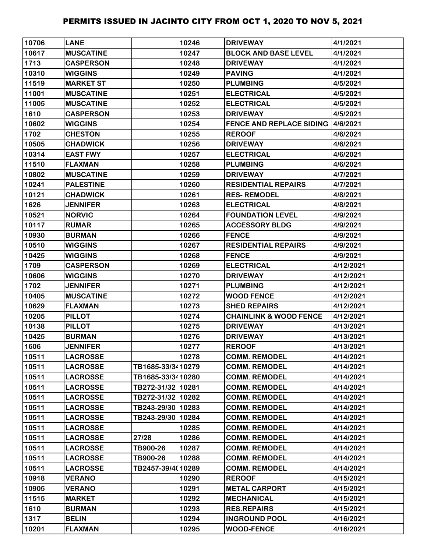| 10706 | <b>LANE</b>      |                   | 10246 | <b>DRIVEWAY</b>                          | 4/1/2021  |
|-------|------------------|-------------------|-------|------------------------------------------|-----------|
| 10617 | <b>MUSCATINE</b> |                   | 10247 | <b>BLOCK AND BASE LEVEL</b>              | 4/1/2021  |
| 1713  | <b>CASPERSON</b> |                   | 10248 | <b>DRIVEWAY</b>                          | 4/1/2021  |
| 10310 | <b>WIGGINS</b>   |                   | 10249 | <b>PAVING</b>                            | 4/1/2021  |
| 11519 | <b>MARKET ST</b> |                   | 10250 | <b>PLUMBING</b>                          | 4/5/2021  |
| 11001 | <b>MUSCATINE</b> |                   | 10251 | <b>ELECTRICAL</b>                        | 4/5/2021  |
| 11005 | <b>MUSCATINE</b> |                   | 10252 | <b>ELECTRICAL</b>                        | 4/5/2021  |
| 1610  | <b>CASPERSON</b> |                   | 10253 | <b>DRIVEWAY</b>                          | 4/5/2021  |
| 10602 | <b>WIGGINS</b>   |                   | 10254 | <b>FENCE AND REPLACE SIDING 4/6/2021</b> |           |
| 1702  | <b>CHESTON</b>   |                   | 10255 | <b>REROOF</b>                            | 4/6/2021  |
| 10505 | <b>CHADWICK</b>  |                   | 10256 | <b>DRIVEWAY</b>                          | 4/6/2021  |
| 10314 | <b>EAST FWY</b>  |                   | 10257 | <b>ELECTRICAL</b>                        | 4/6/2021  |
| 11510 | <b>FLAXMAN</b>   |                   | 10258 | <b>PLUMBING</b>                          | 4/6/2021  |
| 10802 | <b>MUSCATINE</b> |                   | 10259 | <b>DRIVEWAY</b>                          | 4/7/2021  |
| 10241 | <b>PALESTINE</b> |                   | 10260 | <b>RESIDENTIAL REPAIRS</b>               | 4/7/2021  |
| 10121 | <b>CHADWICK</b>  |                   | 10261 | <b>RES-REMODEL</b>                       | 4/8/2021  |
| 1626  | <b>JENNIFER</b>  |                   | 10263 | <b>ELECTRICAL</b>                        | 4/8/2021  |
| 10521 | <b>NORVIC</b>    |                   | 10264 | <b>FOUNDATION LEVEL</b>                  | 4/9/2021  |
| 10117 | <b>RUMAR</b>     |                   | 10265 | <b>ACCESSORY BLDG</b>                    | 4/9/2021  |
| 10930 | <b>BURMAN</b>    |                   | 10266 | <b>FENCE</b>                             | 4/9/2021  |
| 10510 | <b>WIGGINS</b>   |                   | 10267 | <b>RESIDENTIAL REPAIRS</b>               | 4/9/2021  |
| 10425 | <b>WIGGINS</b>   |                   | 10268 | <b>FENCE</b>                             | 4/9/2021  |
| 1709  | <b>CASPERSON</b> |                   | 10269 | <b>ELECTRICAL</b>                        | 4/12/2021 |
| 10606 | <b>WIGGINS</b>   |                   | 10270 | <b>DRIVEWAY</b>                          | 4/12/2021 |
| 1702  | <b>JENNIFER</b>  |                   | 10271 | <b>PLUMBING</b>                          | 4/12/2021 |
| 10405 | <b>MUSCATINE</b> |                   | 10272 | <b>WOOD FENCE</b>                        | 4/12/2021 |
| 10629 | <b>FLAXMAN</b>   |                   | 10273 | <b>SHED REPAIRS</b>                      | 4/12/2021 |
| 10205 | <b>PILLOT</b>    |                   | 10274 | <b>CHAINLINK &amp; WOOD FENCE</b>        | 4/12/2021 |
| 10138 | <b>PILLOT</b>    |                   | 10275 | <b>DRIVEWAY</b>                          | 4/13/2021 |
| 10425 | <b>BURMAN</b>    |                   | 10276 | <b>DRIVEWAY</b>                          | 4/13/2021 |
| 1606  | <b>JENNIFER</b>  |                   | 10277 | <b>REROOF</b>                            | 4/13/2021 |
| 10511 | <b>LACROSSE</b>  |                   | 10278 | <b>COMM. REMODEL</b>                     | 4/14/2021 |
| 10511 | <b>LACROSSE</b>  | TB1685-33/3410279 |       | <b>COMM. REMODEL</b>                     | 4/14/2021 |
| 10511 | <b>LACROSSE</b>  | TB1685-33/3410280 |       | <b>COMM. REMODEL</b>                     | 4/14/2021 |
| 10511 | <b>LACROSSE</b>  | TB272-31/32 10281 |       | <b>COMM. REMODEL</b>                     | 4/14/2021 |
| 10511 | <b>LACROSSE</b>  | TB272-31/32 10282 |       | <b>COMM. REMODEL</b>                     | 4/14/2021 |
| 10511 | <b>LACROSSE</b>  | TB243-29/30 10283 |       | <b>COMM. REMODEL</b>                     | 4/14/2021 |
| 10511 | <b>LACROSSE</b>  | TB243-29/30 10284 |       | <b>COMM. REMODEL</b>                     | 4/14/2021 |
| 10511 | <b>LACROSSE</b>  |                   | 10285 | <b>COMM. REMODEL</b>                     | 4/14/2021 |
| 10511 | <b>LACROSSE</b>  | 27/28             | 10286 | <b>COMM. REMODEL</b>                     | 4/14/2021 |
| 10511 | <b>LACROSSE</b>  | TB900-26          | 10287 | <b>COMM. REMODEL</b>                     | 4/14/2021 |
| 10511 | <b>LACROSSE</b>  | TB900-26          | 10288 | <b>COMM. REMODEL</b>                     | 4/14/2021 |
| 10511 | <b>LACROSSE</b>  | TB2457-39/4010289 |       | <b>COMM. REMODEL</b>                     | 4/14/2021 |
| 10918 | <b>VERANO</b>    |                   | 10290 | <b>REROOF</b>                            | 4/15/2021 |
| 10905 | <b>VERANO</b>    |                   | 10291 | <b>METAL CARPORT</b>                     | 4/15/2021 |
| 11515 | <b>MARKET</b>    |                   | 10292 | <b>MECHANICAL</b>                        | 4/15/2021 |
| 1610  | <b>BURMAN</b>    |                   | 10293 | <b>RES.REPAIRS</b>                       | 4/15/2021 |
| 1317  | <b>BELIN</b>     |                   | 10294 | <b>INGROUND POOL</b>                     | 4/16/2021 |
| 10201 | <b>FLAXMAN</b>   |                   | 10295 | <b>WOOD-FENCE</b>                        | 4/16/2021 |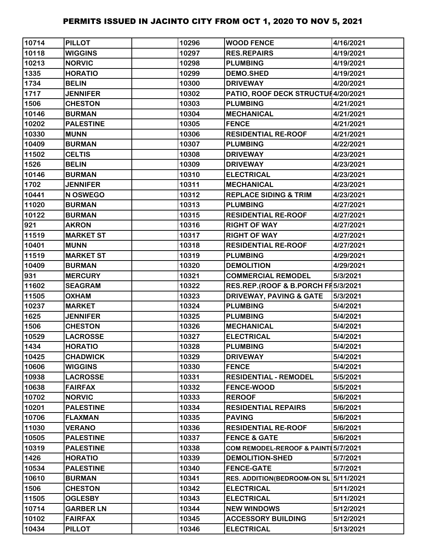| 10714 | <b>PILLOT</b>    | 10296 | <b>WOOD FENCE</b>                   | 4/16/2021 |
|-------|------------------|-------|-------------------------------------|-----------|
| 10118 | <b>WIGGINS</b>   | 10297 | <b>RES.REPAIRS</b>                  | 4/19/2021 |
| 10213 | <b>NORVIC</b>    | 10298 | <b>PLUMBING</b>                     | 4/19/2021 |
| 1335  | <b>HORATIO</b>   | 10299 | <b>DEMO.SHED</b>                    | 4/19/2021 |
| 1734  | <b>BELIN</b>     | 10300 | <b>DRIVEWAY</b>                     | 4/20/2021 |
| 1717  | <b>JENNIFER</b>  | 10302 | PATIO, ROOF DECK STRUCTUH4/20/2021  |           |
| 1506  | <b>CHESTON</b>   | 10303 | <b>PLUMBING</b>                     | 4/21/2021 |
| 10146 | <b>BURMAN</b>    | 10304 | <b>MECHANICAL</b>                   | 4/21/2021 |
| 10202 | <b>PALESTINE</b> | 10305 | <b>FENCE</b>                        | 4/21/2021 |
| 10330 | <b>MUNN</b>      | 10306 | <b>RESIDENTIAL RE-ROOF</b>          | 4/21/2021 |
| 10409 | <b>BURMAN</b>    | 10307 | <b>PLUMBING</b>                     | 4/22/2021 |
| 11502 | <b>CELTIS</b>    | 10308 | <b>DRIVEWAY</b>                     | 4/23/2021 |
| 1526  | <b>BELIN</b>     | 10309 | <b>DRIVEWAY</b>                     | 4/23/2021 |
| 10146 | <b>BURMAN</b>    | 10310 | <b>ELECTRICAL</b>                   | 4/23/2021 |
| 1702  | <b>JENNIFER</b>  | 10311 | <b>MECHANICAL</b>                   | 4/23/2021 |
| 10441 | N OSWEGO         | 10312 | <b>REPLACE SIDING &amp; TRIM</b>    | 4/23/2021 |
| 11020 | <b>BURMAN</b>    | 10313 | <b>PLUMBING</b>                     | 4/27/2021 |
| 10122 | <b>BURMAN</b>    | 10315 | <b>RESIDENTIAL RE-ROOF</b>          | 4/27/2021 |
| 921   | <b>AKRON</b>     | 10316 | <b>RIGHT OF WAY</b>                 | 4/27/2021 |
| 11519 | <b>MARKET ST</b> | 10317 | <b>RIGHT OF WAY</b>                 | 4/27/2021 |
| 10401 | <b>MUNN</b>      | 10318 | <b>RESIDENTIAL RE-ROOF</b>          | 4/27/2021 |
| 11519 | <b>MARKET ST</b> | 10319 | <b>PLUMBING</b>                     | 4/29/2021 |
| 10409 | <b>BURMAN</b>    | 10320 | <b>DEMOLITION</b>                   | 4/29/2021 |
| 931   | <b>MERCURY</b>   | 10321 | <b>COMMERCIAL REMODEL</b>           | 5/3/2021  |
| 11602 | <b>SEAGRAM</b>   | 10322 | RES.REP.(ROOF & B.PORCH FI5/3/2021  |           |
| 11505 | <b>OXHAM</b>     | 10323 | <b>DRIVEWAY, PAVING &amp; GATE</b>  | 5/3/2021  |
| 10237 | <b>MARKET</b>    | 10324 | <b>PLUMBING</b>                     | 5/4/2021  |
| 1625  | <b>JENNIFER</b>  | 10325 | <b>PLUMBING</b>                     | 5/4/2021  |
| 1506  | <b>CHESTON</b>   | 10326 | <b>MECHANICAL</b>                   | 5/4/2021  |
| 10529 | <b>LACROSSE</b>  | 10327 | <b>ELECTRICAL</b>                   | 5/4/2021  |
| 1434  | <b>HORATIO</b>   | 10328 | <b>PLUMBING</b>                     | 5/4/2021  |
| 10425 | <b>CHADWICK</b>  | 10329 | <b>DRIVEWAY</b>                     | 5/4/2021  |
| 10606 | <b>WIGGINS</b>   | 10330 | <b>FENCE</b>                        | 5/4/2021  |
| 10938 | <b>LACROSSE</b>  | 10331 | <b>RESIDENTIAL - REMODEL</b>        | 5/5/2021  |
| 10638 | <b>FAIRFAX</b>   | 10332 | <b>FENCE-WOOD</b>                   | 5/5/2021  |
| 10702 | <b>NORVIC</b>    | 10333 | <b>REROOF</b>                       | 5/6/2021  |
| 10201 | <b>PALESTINE</b> | 10334 | <b>RESIDENTIAL REPAIRS</b>          | 5/6/2021  |
| 10706 | <b>FLAXMAN</b>   | 10335 | <b>PAVING</b>                       | 5/6/2021  |
| 11030 | <b>VERANO</b>    | 10336 | <b>RESIDENTIAL RE-ROOF</b>          | 5/6/2021  |
| 10505 | <b>PALESTINE</b> | 10337 | <b>FENCE &amp; GATE</b>             | 5/6/2021  |
| 10319 | <b>PALESTINE</b> | 10338 | COM REMODEL-REROOF & PAINT 5/7/2021 |           |
| 1426  | <b>HORATIO</b>   | 10339 | <b>DEMOLITION-SHED</b>              | 5/7/2021  |
| 10534 | <b>PALESTINE</b> | 10340 | <b>FENCE-GATE</b>                   | 5/7/2021  |
| 10610 | <b>BURMAN</b>    | 10341 | <b>RES. ADDITION(BEDROOM-ON SL</b>  | 5/11/2021 |
| 1506  | <b>CHESTON</b>   | 10342 | <b>ELECTRICAL</b>                   | 5/11/2021 |
| 11505 | <b>OGLESBY</b>   | 10343 | <b>ELECTRICAL</b>                   | 5/11/2021 |
| 10714 | <b>GARBER LN</b> | 10344 | <b>NEW WINDOWS</b>                  | 5/12/2021 |
| 10102 | <b>FAIRFAX</b>   | 10345 | <b>ACCESSORY BUILDING</b>           | 5/12/2021 |
| 10434 | <b>PILLOT</b>    | 10346 | <b>ELECTRICAL</b>                   | 5/13/2021 |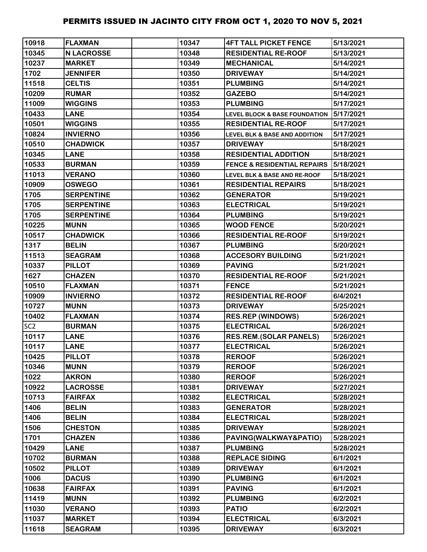| 10918           | <b>FLAXMAN</b>    | 10347 | <b>4FT TALL PICKET FENCE</b>             | 5/13/2021 |
|-----------------|-------------------|-------|------------------------------------------|-----------|
| 10345           | <b>N LACROSSE</b> | 10348 | <b>RESIDENTIAL RE-ROOF</b>               | 5/13/2021 |
| 10237           | <b>MARKET</b>     | 10349 | <b>MECHANICAL</b>                        | 5/14/2021 |
| 1702            | <b>JENNIFER</b>   | 10350 | <b>DRIVEWAY</b>                          | 5/14/2021 |
| 11518           | <b>CELTIS</b>     | 10351 | <b>PLUMBING</b>                          | 5/14/2021 |
| 10209           | <b>RUMAR</b>      | 10352 | <b>GAZEBO</b>                            | 5/14/2021 |
| 11009           | <b>WIGGINS</b>    | 10353 | <b>PLUMBING</b>                          | 5/17/2021 |
| 10433           | <b>LANE</b>       | 10354 | <b>LEVEL BLOCK &amp; BASE FOUNDATION</b> | 5/17/2021 |
| 10501           | <b>WIGGINS</b>    | 10355 | <b>RESIDENTIAL RE-ROOF</b>               | 5/17/2021 |
| 10824           | <b>INVIERNO</b>   | 10356 | <b>LEVEL BLK &amp; BASE AND ADDITION</b> | 5/17/2021 |
| 10510           | <b>CHADWICK</b>   | 10357 | <b>DRIVEWAY</b>                          | 5/18/2021 |
| 10345           | <b>LANE</b>       | 10358 | <b>RESIDENTIAL ADDITION</b>              | 5/18/2021 |
| 10533           | <b>BURMAN</b>     | 10359 | <b>FENCE &amp; RESIDENTIAL REPAIRS</b>   | 5/18/2021 |
| 11013           | <b>VERANO</b>     | 10360 | <b>LEVEL BLK &amp; BASE AND RE-ROOF</b>  | 5/18/2021 |
| 10909           | <b>OSWEGO</b>     | 10361 | <b>RESIDENTIAL REPAIRS</b>               | 5/18/2021 |
| 1705            | <b>SERPENTINE</b> | 10362 | <b>GENERATOR</b>                         | 5/19/2021 |
| 1705            | <b>SERPENTINE</b> | 10363 | <b>ELECTRICAL</b>                        | 5/19/2021 |
| 1705            | <b>SERPENTINE</b> | 10364 | <b>PLUMBING</b>                          | 5/19/2021 |
| 10225           | <b>MUNN</b>       | 10365 | <b>WOOD FENCE</b>                        | 5/20/2021 |
| 10517           | <b>CHADWICK</b>   | 10366 | <b>RESIDENTIAL RE-ROOF</b>               | 5/19/2021 |
| 1317            | <b>BELIN</b>      | 10367 | <b>PLUMBING</b>                          | 5/20/2021 |
| 11513           | <b>SEAGRAM</b>    | 10368 | <b>ACCESORY BUILDING</b>                 | 5/21/2021 |
| 10337           | <b>PILLOT</b>     | 10369 | <b>PAVING</b>                            | 5/21/2021 |
| 1627            | <b>CHAZEN</b>     | 10370 | <b>RESIDENTIAL RE-ROOF</b>               | 5/21/2021 |
| 10510           | <b>FLAXMAN</b>    | 10371 | <b>FENCE</b>                             | 5/21/2021 |
| 10909           | <b>INVIERNO</b>   | 10372 | <b>RESIDENTIAL RE-ROOF</b>               | 6/4/2021  |
| 10727           | <b>MUNN</b>       | 10373 | <b>DRIVEWAY</b>                          | 5/25/2021 |
| 10402           | <b>FLAXMAN</b>    | 10374 | <b>RES.REP (WINDOWS)</b>                 | 5/26/2021 |
| SC <sub>2</sub> | <b>BURMAN</b>     | 10375 | <b>ELECTRICAL</b>                        | 5/26/2021 |
| 10117           | <b>LANE</b>       | 10376 | <b>RES.REM.(SOLAR PANELS)</b>            | 5/26/2021 |
| 10117           | <b>LANE</b>       | 10377 | <b>ELECTRICAL</b>                        | 5/26/2021 |
| 10425           | <b>PILLOT</b>     | 10378 | <b>REROOF</b>                            | 5/26/2021 |
| 10346           | <b>MUNN</b>       | 10379 | <b>REROOF</b>                            | 5/26/2021 |
| 1022            | <b>AKRON</b>      | 10380 | <b>REROOF</b>                            | 5/26/2021 |
| 10922           | <b>LACROSSE</b>   | 10381 | <b>DRIVEWAY</b>                          | 5/27/2021 |
| 10713           | <b>FAIRFAX</b>    | 10382 | <b>ELECTRICAL</b>                        | 5/28/2021 |
| 1406            | <b>BELIN</b>      | 10383 | <b>GENERATOR</b>                         | 5/28/2021 |
| 1406            | <b>BELIN</b>      | 10384 | <b>ELECTRICAL</b>                        | 5/28/2021 |
| 1506            | <b>CHESTON</b>    | 10385 | <b>DRIVEWAY</b>                          | 5/28/2021 |
| 1701            | <b>CHAZEN</b>     | 10386 | PAVING(WALKWAY&PATIO)                    | 5/28/2021 |
| 10429           | <b>LANE</b>       | 10387 | <b>PLUMBING</b>                          | 5/28/2021 |
| 10702           | <b>BURMAN</b>     | 10388 | <b>REPLACE SIDING</b>                    | 6/1/2021  |
| 10502           | <b>PILLOT</b>     | 10389 | <b>DRIVEWAY</b>                          | 6/1/2021  |
| 1006            | <b>DACUS</b>      | 10390 | <b>PLUMBING</b>                          | 6/1/2021  |
| 10638           | <b>FAIRFAX</b>    | 10391 | <b>PAVING</b>                            | 6/1/2021  |
| 11419           | <b>MUNN</b>       | 10392 | <b>PLUMBING</b>                          | 6/2/2021  |
| 11030           | <b>VERANO</b>     | 10393 | <b>PATIO</b>                             | 6/2/2021  |
| 11037           | <b>MARKET</b>     | 10394 | <b>ELECTRICAL</b>                        | 6/3/2021  |
| 11618           | <b>SEAGRAM</b>    | 10395 | <b>DRIVEWAY</b>                          | 6/3/2021  |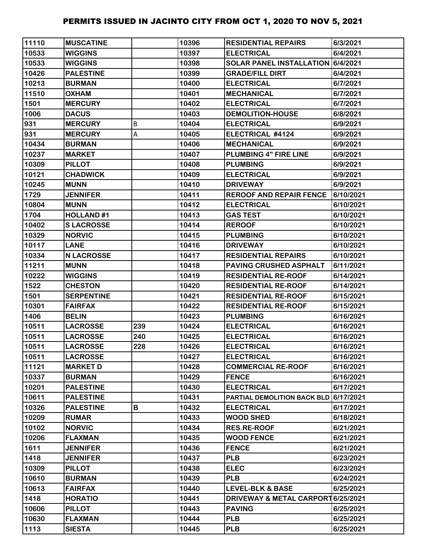| 11110 | <b>MUSCATINE</b>  |     | 10396 | <b>RESIDENTIAL REPAIRS</b>               | 6/3/2021  |
|-------|-------------------|-----|-------|------------------------------------------|-----------|
| 10533 | <b>WIGGINS</b>    |     | 10397 | <b>ELECTRICAL</b>                        | 6/4/2021  |
| 10533 | <b>WIGGINS</b>    |     | 10398 | <b>SOLAR PANEL INSTALLATION 6/4/2021</b> |           |
| 10426 | <b>PALESTINE</b>  |     | 10399 | <b>GRADE/FILL DIRT</b>                   | 6/4/2021  |
| 10213 | <b>BURMAN</b>     |     | 10400 | <b>ELECTRICAL</b>                        | 6/7/2021  |
| 11510 | <b>OXHAM</b>      |     | 10401 | <b>MECHANICAL</b>                        | 6/7/2021  |
| 1501  | <b>MERCURY</b>    |     | 10402 | <b>ELECTRICAL</b>                        | 6/7/2021  |
| 1006  | <b>DACUS</b>      |     | 10403 | <b>DEMOLITION-HOUSE</b>                  | 6/8/2021  |
| 931   | <b>MERCURY</b>    | B   | 10404 | <b>ELECTRICAL</b>                        | 6/9/2021  |
| 931   | <b>MERCURY</b>    | А   | 10405 | ELECTRICAL #4124                         | 6/9/2021  |
| 10434 | <b>BURMAN</b>     |     | 10406 | <b>MECHANICAL</b>                        | 6/9/2021  |
| 10237 | <b>MARKET</b>     |     | 10407 | <b>PLUMBING 4" FIRE LINE</b>             | 6/9/2021  |
| 10309 | <b>PILLOT</b>     |     | 10408 | <b>PLUMBING</b>                          | 6/9/2021  |
| 10121 | <b>CHADWICK</b>   |     | 10409 | <b>ELECTRICAL</b>                        | 6/9/2021  |
| 10245 | <b>MUNN</b>       |     | 10410 | <b>DRIVEWAY</b>                          | 6/9/2021  |
| 1729  | <b>JENNIFER</b>   |     | 10411 | <b>REROOF AND REPAIR FENCE</b>           | 6/10/2021 |
| 10804 | <b>MUNN</b>       |     | 10412 | <b>ELECTRICAL</b>                        | 6/10/2021 |
| 1704  | <b>HOLLAND#1</b>  |     | 10413 | <b>GAS TEST</b>                          | 6/10/2021 |
| 10402 | <b>SLACROSSE</b>  |     | 10414 | <b>REROOF</b>                            | 6/10/2021 |
| 10329 | <b>NORVIC</b>     |     | 10415 | <b>PLUMBING</b>                          | 6/10/2021 |
| 10117 | <b>LANE</b>       |     | 10416 | <b>DRIVEWAY</b>                          | 6/10/2021 |
| 10334 | <b>N LACROSSE</b> |     | 10417 | <b>RESIDENTIAL REPAIRS</b>               | 6/10/2021 |
| 11211 | <b>MUNN</b>       |     | 10418 | PAVING CRUSHED ASPHALT                   | 6/11/2021 |
| 10222 | <b>WIGGINS</b>    |     | 10419 | <b>RESIDENTIAL RE-ROOF</b>               | 6/14/2021 |
| 1522  | <b>CHESTON</b>    |     | 10420 | <b>RESIDENTIAL RE-ROOF</b>               | 6/14/2021 |
| 1501  | <b>SERPENTINE</b> |     | 10421 | <b>RESIDENTIAL RE-ROOF</b>               | 6/15/2021 |
| 10301 | <b>FAIRFAX</b>    |     | 10422 | <b>RESIDENTIAL RE-ROOF</b>               | 6/15/2021 |
| 1406  | <b>BELIN</b>      |     | 10423 | <b>PLUMBING</b>                          | 6/16/2021 |
| 10511 | <b>LACROSSE</b>   | 239 | 10424 | <b>ELECTRICAL</b>                        | 6/16/2021 |
| 10511 | <b>LACROSSE</b>   | 240 | 10425 | <b>ELECTRICAL</b>                        | 6/16/2021 |
| 10511 | <b>LACROSSE</b>   | 228 | 10426 | <b>ELECTRICAL</b>                        | 6/16/2021 |
| 10511 | <b>LACROSSE</b>   |     | 10427 | <b>ELECTRICAL</b>                        | 6/16/2021 |
| 11121 | <b>MARKET D</b>   |     | 10428 | <b>COMMERCIAL RE-ROOF</b>                | 6/16/2021 |
| 10337 | <b>BURMAN</b>     |     | 10429 | <b>FENCE</b>                             | 6/16/2021 |
| 10201 | <b>PALESTINE</b>  |     | 10430 | <b>ELECTRICAL</b>                        | 6/17/2021 |
| 10611 | <b>PALESTINE</b>  |     | 10431 | PARTIAL DEMOLITION BACK BLD 6/17/2021    |           |
| 10326 | <b>PALESTINE</b>  | В   | 10432 | <b>ELECTRICAL</b>                        | 6/17/2021 |
| 10209 | <b>RUMAR</b>      |     | 10433 | <b>WOOD SHED</b>                         | 6/18/2021 |
| 10102 | <b>NORVIC</b>     |     | 10434 | <b>RES.RE-ROOF</b>                       | 6/21/2021 |
| 10206 | <b>FLAXMAN</b>    |     | 10435 | <b>WOOD FENCE</b>                        | 6/21/2021 |
| 1611  | <b>JENNIFER</b>   |     | 10436 | <b>FENCE</b>                             | 6/21/2021 |
| 1418  | <b>JENNIFER</b>   |     | 10437 | <b>PLB</b>                               | 6/23/2021 |
| 10309 | <b>PILLOT</b>     |     | 10438 | <b>ELEC</b>                              | 6/23/2021 |
| 10610 | <b>BURMAN</b>     |     | 10439 | <b>PLB</b>                               | 6/24/2021 |
| 10613 | <b>FAIRFAX</b>    |     | 10440 | <b>LEVEL-BLK &amp; BASE</b>              | 6/25/2021 |
| 1418  | <b>HORATIO</b>    |     | 10441 | DRIVEWAY & METAL CARPORT 6/25/2021       |           |
| 10606 | <b>PILLOT</b>     |     | 10443 | <b>PAVING</b>                            | 6/25/2021 |
| 10630 | <b>FLAXMAN</b>    |     | 10444 | <b>PLB</b>                               | 6/25/2021 |
| 1113  | <b>SIESTA</b>     |     | 10445 | <b>PLB</b>                               | 6/25/2021 |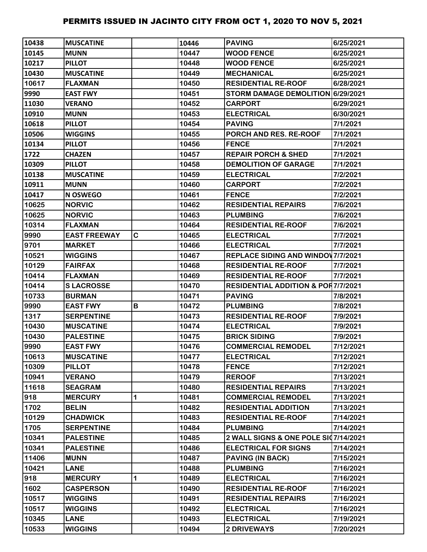| 10438 | <b>IMUSCATINE</b>   |   | 10446 | <b>PAVING</b>                                 | 6/25/2021 |
|-------|---------------------|---|-------|-----------------------------------------------|-----------|
| 10145 | <b>MUNN</b>         |   | 10447 | <b>WOOD FENCE</b>                             | 6/25/2021 |
| 10217 | <b>PILLOT</b>       |   | 10448 | <b>WOOD FENCE</b>                             | 6/25/2021 |
| 10430 | <b>MUSCATINE</b>    |   | 10449 | <b>MECHANICAL</b>                             | 6/25/2021 |
| 10617 | <b>FLAXMAN</b>      |   | 10450 | <b>RESIDENTIAL RE-ROOF</b>                    | 6/28/2021 |
| 9990  | <b>EAST FWY</b>     |   | 10451 | STORM DAMAGE DEMOLITION 6/29/2021             |           |
| 11030 | <b>VERANO</b>       |   | 10452 | <b>CARPORT</b>                                | 6/29/2021 |
| 10910 | <b>MUNN</b>         |   | 10453 | <b>ELECTRICAL</b>                             | 6/30/2021 |
| 10618 | <b>PILLOT</b>       |   | 10454 | <b>PAVING</b>                                 | 7/1/2021  |
| 10506 | <b>WIGGINS</b>      |   | 10455 | PORCH AND RES. RE-ROOF                        | 7/1/2021  |
| 10134 | <b>PILLOT</b>       |   | 10456 | <b>FENCE</b>                                  | 7/1/2021  |
| 1722  | <b>CHAZEN</b>       |   | 10457 | <b>REPAIR PORCH &amp; SHED</b>                | 7/1/2021  |
| 10309 | <b>PILLOT</b>       |   | 10458 | <b>DEMOLITION OF GARAGE</b>                   | 7/1/2021  |
| 10138 | <b>MUSCATINE</b>    |   | 10459 | <b>ELECTRICAL</b>                             | 7/2/2021  |
| 10911 | <b>MUNN</b>         |   | 10460 | <b>CARPORT</b>                                | 7/2/2021  |
| 10417 | <b>N OSWEGO</b>     |   | 10461 | <b>FENCE</b>                                  | 7/2/2021  |
| 10625 | <b>NORVIC</b>       |   | 10462 | <b>RESIDENTIAL REPAIRS</b>                    | 7/6/2021  |
| 10625 | <b>NORVIC</b>       |   | 10463 | <b>PLUMBING</b>                               | 7/6/2021  |
| 10314 | <b>FLAXMAN</b>      |   | 10464 | <b>RESIDENTIAL RE-ROOF</b>                    | 7/6/2021  |
| 9990  | <b>EAST FREEWAY</b> | C | 10465 | <b>ELECTRICAL</b>                             | 7/7/2021  |
| 9701  | <b>MARKET</b>       |   | 10466 | <b>ELECTRICAL</b>                             | 7/7/2021  |
| 10521 | <b>WIGGINS</b>      |   | 10467 | <b>REPLACE SIDING AND WINDOV 7/7/2021</b>     |           |
| 10129 | <b>FAIRFAX</b>      |   | 10468 | <b>RESIDENTIAL RE-ROOF</b>                    | 7/7/2021  |
| 10414 | <b>FLAXMAN</b>      |   | 10469 | <b>RESIDENTIAL RE-ROOF</b>                    | 7/7/2021  |
| 10414 | <b>SLACROSSE</b>    |   | 10470 | <b>RESIDENTIAL ADDITION &amp; POR7/7/2021</b> |           |
| 10733 | <b>BURMAN</b>       |   | 10471 | <b>PAVING</b>                                 | 7/8/2021  |
| 9990  | <b>EAST FWY</b>     | В | 10472 | <b>PLUMBING</b>                               | 7/8/2021  |
| 1317  | <b>SERPENTINE</b>   |   | 10473 | <b>RESIDENTIAL RE-ROOF</b>                    | 7/9/2021  |
| 10430 | <b>MUSCATINE</b>    |   | 10474 | <b>ELECTRICAL</b>                             | 7/9/2021  |
| 10430 | <b>PALESTINE</b>    |   | 10475 | <b>BRICK SIDING</b>                           | 7/9/2021  |
| 9990  | <b>EAST FWY</b>     |   | 10476 | <b>COMMERCIAL REMODEL</b>                     | 7/12/2021 |
| 10613 | <b>MUSCATINE</b>    |   | 10477 | <b>ELECTRICAL</b>                             | 7/12/2021 |
| 10309 | <b>PILLOT</b>       |   | 10478 | <b>FENCE</b>                                  | 7/12/2021 |
| 10941 | <b>VERANO</b>       |   | 10479 | <b>REROOF</b>                                 | 7/13/2021 |
| 11618 | <b>SEAGRAM</b>      |   | 10480 | <b>RESIDENTIAL REPAIRS</b>                    | 7/13/2021 |
| 918   | <b>MERCURY</b>      | 1 | 10481 | <b>COMMERCIAL REMODEL</b>                     | 7/13/2021 |
| 1702  | <b>BELIN</b>        |   | 10482 | <b>RESIDENTIAL ADDITION</b>                   | 7/13/2021 |
| 10129 | <b>CHADWICK</b>     |   | 10483 | <b>RESIDENTIAL RE-ROOF</b>                    | 7/14/2021 |
| 1705  | <b>SERPENTINE</b>   |   | 10484 | <b>PLUMBING</b>                               | 7/14/2021 |
| 10341 | <b>PALESTINE</b>    |   | 10485 | 2 WALL SIGNS & ONE POLE SI07/14/2021          |           |
| 10341 | <b>PALESTINE</b>    |   | 10486 | <b>ELECTRICAL FOR SIGNS</b>                   | 7/14/2021 |
| 11406 | <b>MUNN</b>         |   | 10487 | <b>PAVING (IN BACK)</b>                       | 7/15/2021 |
| 10421 | <b>LANE</b>         |   | 10488 | <b>PLUMBING</b>                               | 7/16/2021 |
| 918   | <b>MERCURY</b>      | 1 | 10489 | <b>ELECTRICAL</b>                             | 7/16/2021 |
| 1602  | <b>CASPERSON</b>    |   | 10490 | <b>RESIDENTIAL RE-ROOF</b>                    | 7/16/2021 |
| 10517 | <b>WIGGINS</b>      |   | 10491 | <b>RESIDENTIAL REPAIRS</b>                    | 7/16/2021 |
| 10517 | <b>WIGGINS</b>      |   | 10492 | <b>ELECTRICAL</b>                             | 7/16/2021 |
| 10345 | <b>LANE</b>         |   | 10493 | <b>ELECTRICAL</b>                             | 7/19/2021 |
| 10533 | <b>WIGGINS</b>      |   | 10494 | <b>2 DRIVEWAYS</b>                            | 7/20/2021 |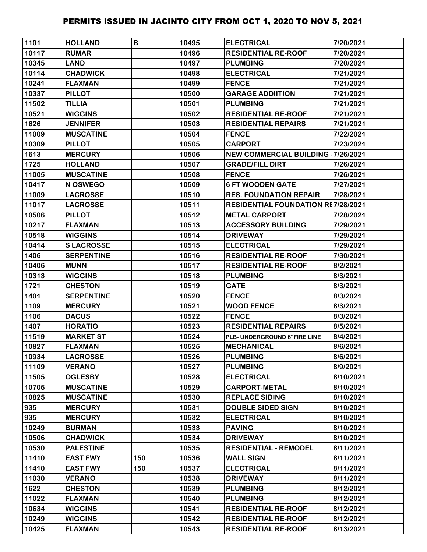| 1101  | <b>HOLLAND</b>    | B   | 10495 | <b>ELECTRICAL</b>                         | 7/20/2021 |
|-------|-------------------|-----|-------|-------------------------------------------|-----------|
| 10117 | <b>RUMAR</b>      |     | 10496 | <b>RESIDENTIAL RE-ROOF</b>                | 7/20/2021 |
| 10345 | <b>LAND</b>       |     | 10497 | <b>PLUMBING</b>                           | 7/20/2021 |
| 10114 | <b>CHADWICK</b>   |     | 10498 | <b>ELECTRICAL</b>                         | 7/21/2021 |
| 10241 | <b>FLAXMAN</b>    |     | 10499 | <b>FENCE</b>                              | 7/21/2021 |
| 10337 | <b>PILLOT</b>     |     | 10500 | <b>GARAGE ADDIITION</b>                   | 7/21/2021 |
| 11502 | <b>TILLIA</b>     |     | 10501 | <b>PLUMBING</b>                           | 7/21/2021 |
| 10521 | <b>WIGGINS</b>    |     | 10502 | <b>RESIDENTIAL RE-ROOF</b>                | 7/21/2021 |
| 1626  | <b>JENNIFER</b>   |     | 10503 | <b>RESIDENTIAL REPAIRS</b>                | 7/21/2021 |
| 11009 | <b>MUSCATINE</b>  |     | 10504 | <b>FENCE</b>                              | 7/22/2021 |
| 10309 | <b>PILLOT</b>     |     | 10505 | <b>CARPORT</b>                            | 7/23/2021 |
| 1613  | <b>MERCURY</b>    |     | 10506 | <b>NEW COMMERCIAL BUILDING 17/26/2021</b> |           |
| 1725  | <b>HOLLAND</b>    |     | 10507 | <b>GRADE/FILL DIRT</b>                    | 7/26/2021 |
| 11005 | <b>MUSCATINE</b>  |     | 10508 | <b>FENCE</b>                              | 7/26/2021 |
| 10417 | N OSWEGO          |     | 10509 | <b>6 FT WOODEN GATE</b>                   | 7/27/2021 |
| 11009 | <b>LACROSSE</b>   |     | 10510 | <b>RES. FOUNDATION REPAIR</b>             | 7/28/2021 |
| 11017 | <b>LACROSSE</b>   |     | 10511 | <b>RESIDENTIAL FOUNDATION RE7/28/2021</b> |           |
| 10506 | <b>PILLOT</b>     |     | 10512 | <b>METAL CARPORT</b>                      | 7/28/2021 |
| 10217 | <b>FLAXMAN</b>    |     | 10513 | <b>ACCESSORY BUILDING</b>                 | 7/29/2021 |
| 10518 | <b>WIGGINS</b>    |     | 10514 | <b>DRIVEWAY</b>                           | 7/29/2021 |
| 10414 | <b>SLACROSSE</b>  |     | 10515 | <b>ELECTRICAL</b>                         | 7/29/2021 |
| 1406  | <b>SERPENTINE</b> |     | 10516 | <b>RESIDENTIAL RE-ROOF</b>                | 7/30/2021 |
| 10406 | <b>MUNN</b>       |     | 10517 | <b>RESIDENTIAL RE-ROOF</b>                | 8/2/2021  |
| 10313 | <b>WIGGINS</b>    |     | 10518 | <b>PLUMBING</b>                           | 8/3/2021  |
| 1721  | <b>CHESTON</b>    |     | 10519 | GATE                                      | 8/3/2021  |
| 1401  | <b>SERPENTINE</b> |     | 10520 | <b>FENCE</b>                              | 8/3/2021  |
| 1109  | <b>MERCURY</b>    |     | 10521 | <b>WOOD FENCE</b>                         | 8/3/2021  |
| 1106  | <b>DACUS</b>      |     | 10522 | <b>FENCE</b>                              | 8/3/2021  |
| 1407  | <b>HORATIO</b>    |     | 10523 | <b>RESIDENTIAL REPAIRS</b>                | 8/5/2021  |
| 11519 | <b>MARKET ST</b>  |     | 10524 | PLB- UNDERGROUND 6"FIRE LINE              | 8/4/2021  |
| 10827 | <b>FLAXMAN</b>    |     | 10525 | <b>MECHANICAL</b>                         | 8/6/2021  |
| 10934 | <b>LACROSSE</b>   |     | 10526 | <b>PLUMBING</b>                           | 8/6/2021  |
| 11109 | <b>VERANO</b>     |     | 10527 | <b>PLUMBING</b>                           | 8/9/2021  |
| 11505 | <b>OGLESBY</b>    |     | 10528 | <b>ELECTRICAL</b>                         | 8/10/2021 |
| 10705 | <b>MUSCATINE</b>  |     | 10529 | <b>CARPORT-METAL</b>                      | 8/10/2021 |
| 10825 | <b>MUSCATINE</b>  |     | 10530 | <b>REPLACE SIDING</b>                     | 8/10/2021 |
| 935   | <b>MERCURY</b>    |     | 10531 | <b>DOUBLE SIDED SIGN</b>                  | 8/10/2021 |
| 935   | <b>MERCURY</b>    |     | 10532 | <b>ELECTRICAL</b>                         | 8/10/2021 |
| 10249 | <b>BURMAN</b>     |     | 10533 | <b>PAVING</b>                             | 8/10/2021 |
| 10506 | <b>CHADWICK</b>   |     | 10534 | <b>DRIVEWAY</b>                           | 8/10/2021 |
| 10530 | <b>PALESTINE</b>  |     | 10535 | <b>RESIDENTIAL - REMODEL</b>              | 8/11/2021 |
| 11410 | <b>EAST FWY</b>   | 150 | 10536 | <b>WALL SIGN</b>                          | 8/11/2021 |
| 11410 | <b>EAST FWY</b>   | 150 | 10537 | <b>ELECTRICAL</b>                         | 8/11/2021 |
| 11030 | <b>VERANO</b>     |     | 10538 | <b>DRIVEWAY</b>                           | 8/11/2021 |
| 1622  | <b>CHESTON</b>    |     | 10539 | <b>PLUMBING</b>                           | 8/12/2021 |
| 11022 | <b>FLAXMAN</b>    |     | 10540 | <b>PLUMBING</b>                           | 8/12/2021 |
| 10634 | <b>WIGGINS</b>    |     | 10541 | <b>RESIDENTIAL RE-ROOF</b>                | 8/12/2021 |
| 10249 | <b>WIGGINS</b>    |     | 10542 | <b>RESIDENTIAL RE-ROOF</b>                | 8/12/2021 |
| 10425 | <b>FLAXMAN</b>    |     | 10543 | <b>RESIDENTIAL RE-ROOF</b>                | 8/13/2021 |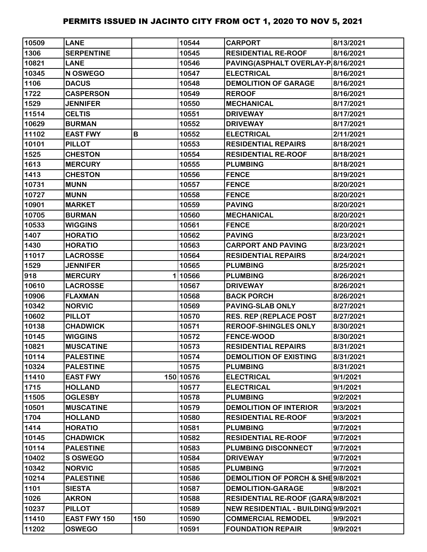| 10509 | <b>LANE</b>         |     | 10544     | <b>CARPORT</b>                      | 8/13/2021 |
|-------|---------------------|-----|-----------|-------------------------------------|-----------|
| 1306  | <b>SERPENTINE</b>   |     | 10545     | <b>RESIDENTIAL RE-ROOF</b>          | 8/16/2021 |
| 10821 | <b>LANE</b>         |     | 10546     | PAVING(ASPHALT OVERLAY-P 8/16/2021  |           |
| 10345 | N OSWEGO            |     | 10547     | <b>ELECTRICAL</b>                   | 8/16/2021 |
| 1106  | <b>DACUS</b>        |     | 10548     | <b>DEMOLITION OF GARAGE</b>         | 8/16/2021 |
| 1722  | <b>CASPERSON</b>    |     | 10549     | <b>REROOF</b>                       | 8/16/2021 |
| 1529  | <b>JENNIFER</b>     |     | 10550     | <b>MECHANICAL</b>                   | 8/17/2021 |
| 11514 | <b>CELTIS</b>       |     | 10551     | <b>DRIVEWAY</b>                     | 8/17/2021 |
| 10629 | <b>BURMAN</b>       |     | 10552     | <b>DRIVEWAY</b>                     | 8/17/2021 |
| 11102 | <b>EAST FWY</b>     | В   | 10552     | <b>ELECTRICAL</b>                   | 2/11/2021 |
| 10101 | <b>PILLOT</b>       |     | 10553     | <b>RESIDENTIAL REPAIRS</b>          | 8/18/2021 |
| 1525  | <b>CHESTON</b>      |     | 10554     | <b>RESIDENTIAL RE-ROOF</b>          | 8/18/2021 |
| 1613  | <b>MERCURY</b>      |     | 10555     | <b>PLUMBING</b>                     | 8/18/2021 |
| 1413  | <b>CHESTON</b>      |     | 10556     | <b>FENCE</b>                        | 8/19/2021 |
| 10731 | <b>MUNN</b>         |     | 10557     | <b>FENCE</b>                        | 8/20/2021 |
| 10727 | <b>MUNN</b>         |     | 10558     | <b>FENCE</b>                        | 8/20/2021 |
| 10901 | <b>MARKET</b>       |     | 10559     | <b>PAVING</b>                       | 8/20/2021 |
| 10705 | <b>BURMAN</b>       |     | 10560     | <b>MECHANICAL</b>                   | 8/20/2021 |
| 10533 | <b>WIGGINS</b>      |     | 10561     | <b>FENCE</b>                        | 8/20/2021 |
| 1407  | <b>HORATIO</b>      |     | 10562     | <b>PAVING</b>                       | 8/23/2021 |
| 1430  | <b>HORATIO</b>      |     | 10563     | <b>CARPORT AND PAVING</b>           | 8/23/2021 |
| 11017 | <b>LACROSSE</b>     |     | 10564     | <b>RESIDENTIAL REPAIRS</b>          | 8/24/2021 |
| 1529  | <b>JENNIFER</b>     |     | 10565     | <b>PLUMBING</b>                     | 8/25/2021 |
| 918   | <b>MERCURY</b>      |     | 110566    | <b>PLUMBING</b>                     | 8/26/2021 |
| 10610 | <b>LACROSSE</b>     |     | 10567     | <b>DRIVEWAY</b>                     | 8/26/2021 |
| 10906 | <b>FLAXMAN</b>      |     | 10568     | <b>BACK PORCH</b>                   | 8/26/2021 |
| 10342 | <b>NORVIC</b>       |     | 10569     | <b>PAVING-SLAB ONLY</b>             | 8/27/2021 |
| 10602 | <b>PILLOT</b>       |     | 10570     | <b>RES. REP (REPLACE POST</b>       | 8/27/2021 |
| 10138 | <b>CHADWICK</b>     |     | 10571     | <b>REROOF-SHINGLES ONLY</b>         | 8/30/2021 |
| 10145 | <b>WIGGINS</b>      |     | 10572     | <b>FENCE-WOOD</b>                   | 8/30/2021 |
| 10821 | <b>MUSCATINE</b>    |     | 10573     | <b>RESIDENTIAL REPAIRS</b>          | 8/31/2021 |
| 10114 | <b>PALESTINE</b>    |     | 10574     | <b>DEMOLITION OF EXISTING</b>       | 8/31/2021 |
| 10324 | <b>PALESTINE</b>    |     | 10575     | <b>PLUMBING</b>                     | 8/31/2021 |
| 11410 | <b>EAST FWY</b>     |     | 150 10576 | <b>ELECTRICAL</b>                   | 9/1/2021  |
| 1715  | <b>HOLLAND</b>      |     | 10577     | <b>ELECTRICAL</b>                   | 9/1/2021  |
| 11505 | <b>OGLESBY</b>      |     | 10578     | <b>PLUMBING</b>                     | 9/2/2021  |
| 10501 | <b>MUSCATINE</b>    |     | 10579     | <b>DEMOLITION OF INTERIOR</b>       | 9/3/2021  |
| 1704  | <b>HOLLAND</b>      |     | 10580     | <b>RESIDENTIAL RE-ROOF</b>          | 9/3/2021  |
| 1414  | <b>HORATIO</b>      |     | 10581     | <b>PLUMBING</b>                     | 9/7/2021  |
| 10145 | <b>CHADWICK</b>     |     | 10582     | <b>RESIDENTIAL RE-ROOF</b>          | 9/7/2021  |
| 10114 | <b>PALESTINE</b>    |     | 10583     | PLUMBING DISCONNECT                 | 9/7/2021  |
| 10402 | <b>S OSWEGO</b>     |     | 10584     | <b>DRIVEWAY</b>                     | 9/7/2021  |
| 10342 | <b>NORVIC</b>       |     | 10585     | <b>PLUMBING</b>                     | 9/7/2021  |
| 10214 | <b>PALESTINE</b>    |     | 10586     | DEMOLITION OF PORCH & SHE9/8/2021   |           |
| 1101  | <b>SIESTA</b>       |     | 10587     | <b>DEMOLITION-GARAGE</b>            | 9/8/2021  |
| 1026  | <b>AKRON</b>        |     | 10588     | RESIDENTIAL RE-ROOF (GARA 9/8/2021  |           |
| 10237 | <b>PILLOT</b>       |     | 10589     | NEW RESIDENTIAL - BUILDING 9/9/2021 |           |
| 11410 | <b>EAST FWY 150</b> | 150 | 10590     | <b>COMMERCIAL REMODEL</b>           | 9/9/2021  |
| 11202 | <b>OSWEGO</b>       |     | 10591     | <b>FOUNDATION REPAIR</b>            | 9/9/2021  |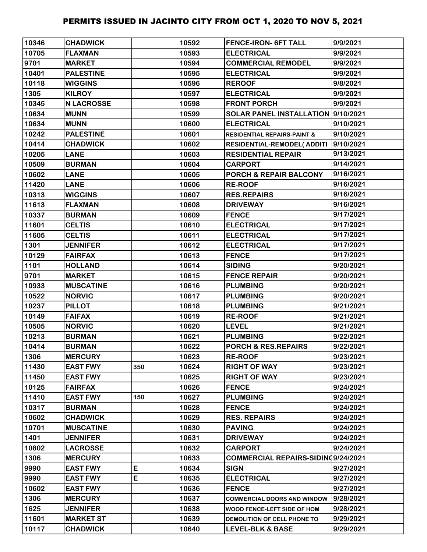| 10346 | <b>CHADWICK</b>   |     | 10592 | <b>FENCE-IRON- 6FT TALL</b>            | 9/9/2021  |
|-------|-------------------|-----|-------|----------------------------------------|-----------|
| 10705 | <b>FLAXMAN</b>    |     | 10593 | <b>ELECTRICAL</b>                      | 9/9/2021  |
| 9701  | <b>MARKET</b>     |     | 10594 | <b>COMMERCIAL REMODEL</b>              | 9/9/2021  |
| 10401 | <b>PALESTINE</b>  |     | 10595 | <b>ELECTRICAL</b>                      | 9/9/2021  |
| 10118 | <b>WIGGINS</b>    |     | 10596 | <b>REROOF</b>                          | 9/8/2021  |
| 1305  | <b>KILROY</b>     |     | 10597 | <b>ELECTRICAL</b>                      | 9/9/2021  |
| 10345 | <b>N LACROSSE</b> |     | 10598 | <b>FRONT PORCH</b>                     | 9/9/2021  |
| 10634 | <b>MUNN</b>       |     | 10599 | SOLAR PANEL INSTALLATION  9/10/2021    |           |
| 10634 | <b>MUNN</b>       |     | 10600 | <b>ELECTRICAL</b>                      | 9/10/2021 |
| 10242 | <b>PALESTINE</b>  |     | 10601 | <b>RESIDENTIAL REPAIRS-PAINT &amp;</b> | 9/10/2021 |
| 10414 | <b>CHADWICK</b>   |     | 10602 | RESIDENTIAL-REMODEL(ADDITI             | 9/10/2021 |
| 10205 | <b>LANE</b>       |     | 10603 | <b>RESIDENTIAL REPAIR</b>              | 9/13/2021 |
| 10509 | <b>BURMAN</b>     |     | 10604 | <b>CARPORT</b>                         | 9/14/2021 |
| 10602 | <b>LANE</b>       |     | 10605 | <b>PORCH &amp; REPAIR BALCONY</b>      | 9/16/2021 |
| 11420 | <b>LANE</b>       |     | 10606 | <b>RE-ROOF</b>                         | 9/16/2021 |
| 10313 | <b>WIGGINS</b>    |     | 10607 | <b>RES.REPAIRS</b>                     | 9/16/2021 |
| 11613 | <b>FLAXMAN</b>    |     | 10608 | <b>DRIVEWAY</b>                        | 9/16/2021 |
| 10337 | <b>BURMAN</b>     |     | 10609 | <b>FENCE</b>                           | 9/17/2021 |
| 11601 | <b>CELTIS</b>     |     | 10610 | <b>ELECTRICAL</b>                      | 9/17/2021 |
| 11605 | <b>CELTIS</b>     |     | 10611 | <b>ELECTRICAL</b>                      | 9/17/2021 |
| 1301  | <b>JENNIFER</b>   |     | 10612 | <b>ELECTRICAL</b>                      | 9/17/2021 |
| 10129 | <b>FAIRFAX</b>    |     | 10613 | <b>FENCE</b>                           | 9/17/2021 |
| 1101  | <b>HOLLAND</b>    |     | 10614 | <b>SIDING</b>                          | 9/20/2021 |
| 9701  | <b>MARKET</b>     |     | 10615 | <b>FENCE REPAIR</b>                    | 9/20/2021 |
| 10933 | <b>MUSCATINE</b>  |     | 10616 | <b>PLUMBING</b>                        | 9/20/2021 |
| 10522 | <b>NORVIC</b>     |     | 10617 | <b>PLUMBING</b>                        | 9/20/2021 |
| 10237 | <b>PILLOT</b>     |     | 10618 | <b>PLUMBING</b>                        | 9/21/2021 |
| 10149 | <b>FAIFAX</b>     |     | 10619 | <b>RE-ROOF</b>                         | 9/21/2021 |
| 10505 | <b>NORVIC</b>     |     | 10620 | <b>LEVEL</b>                           | 9/21/2021 |
| 10213 | <b>BURMAN</b>     |     | 10621 | <b>PLUMBING</b>                        | 9/22/2021 |
| 10414 | <b>BURMAN</b>     |     | 10622 | PORCH & RES.REPAIRS                    | 9/22/2021 |
| 1306  | <b>MERCURY</b>    |     | 10623 | <b>RE-ROOF</b>                         | 9/23/2021 |
| 11430 | <b>EAST FWY</b>   | 350 | 10624 | <b>RIGHT OF WAY</b>                    | 9/23/2021 |
| 11450 | <b>EAST FWY</b>   |     | 10625 | <b>RIGHT OF WAY</b>                    | 9/23/2021 |
| 10125 | <b>FAIRFAX</b>    |     | 10626 | <b>FENCE</b>                           | 9/24/2021 |
| 11410 | <b>EAST FWY</b>   | 150 | 10627 | <b>PLUMBING</b>                        | 9/24/2021 |
| 10317 | <b>BURMAN</b>     |     | 10628 | <b>FENCE</b>                           | 9/24/2021 |
| 10602 | <b>CHADWICK</b>   |     | 10629 | <b>RES. REPAIRS</b>                    | 9/24/2021 |
| 10701 | <b>MUSCATINE</b>  |     | 10630 | <b>PAVING</b>                          | 9/24/2021 |
| 1401  | <b>JENNIFER</b>   |     | 10631 | <b>DRIVEWAY</b>                        | 9/24/2021 |
| 10802 | <b>LACROSSE</b>   |     | 10632 | <b>CARPORT</b>                         | 9/24/2021 |
| 1306  | <b>MERCURY</b>    |     | 10633 | COMMERCIAL REPAIRS-SIDINQ9/24/2021     |           |
| 9990  | <b>EAST FWY</b>   | E   | 10634 | <b>SIGN</b>                            | 9/27/2021 |
| 9990  | <b>EAST FWY</b>   | E   | 10635 | <b>ELECTRICAL</b>                      | 9/27/2021 |
| 10602 | <b>EAST FWY</b>   |     | 10636 | <b>FENCE</b>                           | 9/27/2021 |
| 1306  | <b>MERCURY</b>    |     | 10637 | <b>COMMERCIAL DOORS AND WINDOW</b>     | 9/28/2021 |
| 1625  | <b>JENNIFER</b>   |     | 10638 | WOOD FENCE-LEFT SIDE OF HOM            | 9/28/2021 |
| 11601 | <b>MARKET ST</b>  |     | 10639 | DEMOLITION OF CELL PHONE TO            | 9/29/2021 |
| 10117 | <b>CHADWICK</b>   |     | 10640 | <b>LEVEL-BLK &amp; BASE</b>            | 9/29/2021 |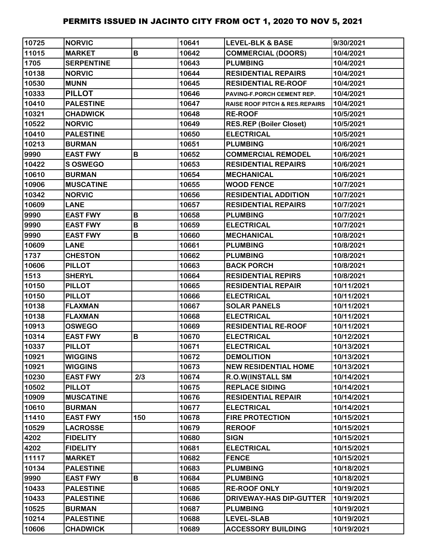| 10725 | <b>NORVIC</b>     |     | 10641 | <b>LEVEL-BLK &amp; BASE</b>               | 9/30/2021  |
|-------|-------------------|-----|-------|-------------------------------------------|------------|
| 11015 | <b>MARKET</b>     | B   | 10642 | <b>COMMERCIAL (DOORS)</b>                 | 10/4/2021  |
| 1705  | <b>SERPENTINE</b> |     | 10643 | <b>PLUMBING</b>                           | 10/4/2021  |
| 10138 | <b>NORVIC</b>     |     | 10644 | <b>RESIDENTIAL REPAIRS</b>                | 10/4/2021  |
| 10530 | <b>MUNN</b>       |     | 10645 | <b>RESIDENTIAL RE-ROOF</b>                | 10/4/2021  |
| 10333 | <b>PILLOT</b>     |     | 10646 | PAVING-F.PORCH CEMENT REP.                | 10/4/2021  |
| 10410 | <b>PALESTINE</b>  |     | 10647 | <b>RAISE ROOF PITCH &amp; RES.REPAIRS</b> | 10/4/2021  |
| 10321 | <b>CHADWICK</b>   |     | 10648 | <b>RE-ROOF</b>                            | 10/5/2021  |
| 10522 | <b>NORVIC</b>     |     | 10649 | <b>RES.REP (Boiler Closet)</b>            | 10/5/2021  |
| 10410 | <b>PALESTINE</b>  |     | 10650 | <b>ELECTRICAL</b>                         | 10/5/2021  |
| 10213 | <b>BURMAN</b>     |     | 10651 | <b>PLUMBING</b>                           | 10/6/2021  |
| 9990  | <b>EAST FWY</b>   | B   | 10652 | <b>COMMERCIAL REMODEL</b>                 | 10/6/2021  |
| 10422 | <b>S OSWEGO</b>   |     | 10653 | <b>RESIDENTIAL REPAIRS</b>                | 10/6/2021  |
| 10610 | <b>BURMAN</b>     |     | 10654 | <b>MECHANICAL</b>                         | 10/6/2021  |
| 10906 | <b>MUSCATINE</b>  |     | 10655 | <b>WOOD FENCE</b>                         | 10/7/2021  |
| 10342 | <b>NORVIC</b>     |     | 10656 | <b>RESIDENTIAL ADDITION</b>               | 10/7/2021  |
| 10609 | <b>LANE</b>       |     | 10657 | <b>RESIDENTIAL REPAIRS</b>                | 10/7/2021  |
| 9990  | <b>EAST FWY</b>   | B   | 10658 | <b>PLUMBING</b>                           | 10/7/2021  |
| 9990  | <b>EAST FWY</b>   | B   | 10659 | <b>ELECTRICAL</b>                         | 10/7/2021  |
| 9990  | <b>EAST FWY</b>   | B   | 10660 | <b>MECHANICAL</b>                         | 10/8/2021  |
| 10609 | <b>LANE</b>       |     | 10661 | <b>PLUMBING</b>                           | 10/8/2021  |
| 1737  | <b>CHESTON</b>    |     | 10662 | <b>PLUMBING</b>                           | 10/8/2021  |
| 10606 | <b>PILLOT</b>     |     | 10663 | <b>BACK PORCH</b>                         | 10/8/2021  |
| 1513  | <b>SHERYL</b>     |     | 10664 | <b>RESIDENTIAL REPIRS</b>                 | 10/8/2021  |
| 10150 | <b>PILLOT</b>     |     | 10665 | <b>RESIDENTIAL REPAIR</b>                 | 10/11/2021 |
| 10150 | <b>PILLOT</b>     |     | 10666 | <b>ELECTRICAL</b>                         | 10/11/2021 |
| 10138 | <b>FLAXMAN</b>    |     | 10667 | <b>SOLAR PANELS</b>                       | 10/11/2021 |
| 10138 | <b>FLAXMAN</b>    |     | 10668 | <b>ELECTRICAL</b>                         | 10/11/2021 |
| 10913 | <b>OSWEGO</b>     |     | 10669 | <b>RESIDENTIAL RE-ROOF</b>                | 10/11/2021 |
| 10314 | <b>EAST FWY</b>   | B   | 10670 | <b>ELECTRICAL</b>                         | 10/12/2021 |
| 10337 | <b>PILLOT</b>     |     | 10671 | <b>ELECTRICAL</b>                         | 10/13/2021 |
| 10921 | <b>WIGGINS</b>    |     | 10672 | <b>DEMOLITION</b>                         | 10/13/2021 |
| 10921 | <b>WIGGINS</b>    |     | 10673 | <b>NEW RESIDENTIAL HOME</b>               | 10/13/2021 |
| 10230 | <b>EAST FWY</b>   | 2/3 | 10674 | <b>R.O.W(INSTALL SM</b>                   | 10/14/2021 |
| 10502 | <b>PILLOT</b>     |     | 10675 | <b>REPLACE SIDING</b>                     | 10/14/2021 |
| 10909 | <b>MUSCATINE</b>  |     | 10676 | <b>RESIDENTIAL REPAIR</b>                 | 10/14/2021 |
| 10610 | <b>BURMAN</b>     |     | 10677 | <b>ELECTRICAL</b>                         | 10/14/2021 |
| 11410 | <b>EAST FWY</b>   | 150 | 10678 | <b>FIRE PROTECTION</b>                    | 10/15/2021 |
| 10529 | <b>LACROSSE</b>   |     | 10679 | <b>REROOF</b>                             | 10/15/2021 |
| 4202  | <b>FIDELITY</b>   |     | 10680 | <b>SIGN</b>                               | 10/15/2021 |
| 4202  | <b>FIDELITY</b>   |     | 10681 | <b>ELECTRICAL</b>                         | 10/15/2021 |
| 11117 | <b>MARKET</b>     |     | 10682 | <b>FENCE</b>                              | 10/15/2021 |
| 10134 | <b>PALESTINE</b>  |     | 10683 | <b>PLUMBING</b>                           | 10/18/2021 |
| 9990  | <b>EAST FWY</b>   | B   | 10684 | <b>PLUMBING</b>                           | 10/18/2021 |
| 10433 | <b>PALESTINE</b>  |     | 10685 | <b>RE-ROOF ONLY</b>                       | 10/19/2021 |
| 10433 | <b>PALESTINE</b>  |     | 10686 | <b>DRIVEWAY-HAS DIP-GUTTER</b>            | 10/19/2021 |
| 10525 | <b>BURMAN</b>     |     | 10687 | <b>PLUMBING</b>                           | 10/19/2021 |
| 10214 | <b>PALESTINE</b>  |     | 10688 | <b>LEVEL-SLAB</b>                         | 10/19/2021 |
| 10606 | <b>CHADWICK</b>   |     | 10689 | <b>ACCESSORY BUILDING</b>                 | 10/19/2021 |